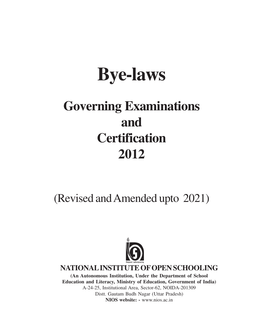# **Bye-laws**

# **Governing Examinations and Certification 2012**

(Revised and Amended upto 2021)



**NATIONAL INSTITUTE OF OPEN SCHOOLING**

**(An Autonomous Institution, Under the Department of School Education and Literacy, Ministry of Education, Government of India)** A-24-25, Institutional Area, Sector-62, NOIDA-201309 Distt. Gautam Budh Nagar (Uttar Pradesh) **NIOS website: -** www.nios.ac.in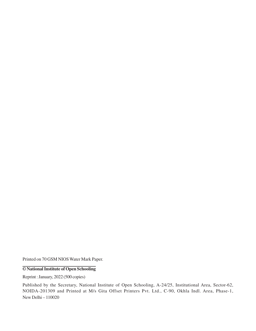Printed on 70 GSM NIOS Water Mark Paper.

#### **© National Institute of Open Schooling**

Reprint : January, 2022 (500 copies)

Published by the Secretary, National Institute of Open Schooling, A-24/25, Institutional Area, Sector-62, NOIDA-201309 and Printed at M/s Gita Offset Printers Pvt. Ltd., C-90, Okhla Indl. Area, Phase-1, New Delhi – 110020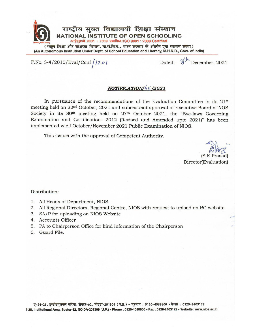

(An Autonomous Institution Under Deptt. of School Education and Literacy, M.H.R.D., Govt. of India)

F.No. 3-4/2010/Eval/Conf $/201$ 

Dated:- 8<sup>th</sup> December, 2021

#### NOTIFICATION/ $45/2021$

In pursuance of the recommendations of the Evaluation Committee in its  $21<sup>st</sup>$ meeting held on 22<sup>nd</sup> October, 2021 and subsequent approval of Executive Board of NOS Society in its 80<sup>th</sup> meeting held on 27<sup>th</sup> October 2021, the "Bye-laws Governing Examination and Certification- 2012 (Revised and Amended upto 2021)" has been implemented w.e.f October/November 2021 Public Examination of NIOS.

This issues with the approval of Competent Authority.

(S.K Prasad) Director(Evaluation)

Distribution:

- 1. All Heads of Department, NIOS
- 2. All Regional Directors, Regional Centre, NIOS with request to upload on RC website.
- 3. SA/P for uploading on NIOS Website
- 4. Accounts Officer
- 5. PA to Chairperson Office for kind information of the Chairperson
- 6. Guard File.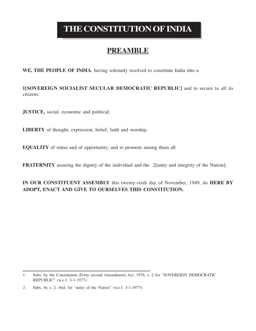# **THE CONSTITUTION OF INDIA**

# **PREAMBLE**

**WE, THE PEOPLE OF INDIA**, having solemnly resolved to constitute India into a

**1[SOVEREIGN SOCIALIST SECULAR DEMOCRATIC REPUBLIC]** and to secure to all its citizens:

**JUSTICE,** social, economic and political;

**LIBERTY** of thought, expression, belief, faith and worship;

**EQUALITY** of status and of opportunity; and to promote among them all

**FRATERNITY** assuring the dignity of the individual and the 2[unity and integrity of the Nation];

**IN OUR CONSTITUENT ASSEMBLY** this twenty-sixth day of November, 1949, do **HERE BY ADOPT, ENACT AND GIVE TO OURSELVES THIS CONSTITUTION.**

<sup>1.</sup> Subs. by the Constitution (Forty second Amendment) Act, 1976, s. 2 for "SOVEREIGN DEMOCRATIC REPUBLIC" (w.e.f. 3-1-1977)

<sup>2.</sup> Subs. by s. 2. ibid, for "unity of the Nation" (w.e.f. 3-1-1977).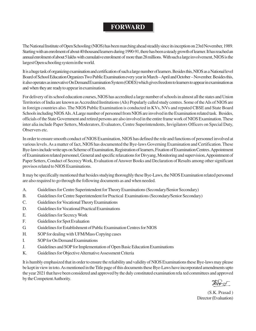### **FORWARD**

The National Institute of Open Schooling (NIOS) has been marching ahead steadily since its inception on 23rd November, 1989. Starting with an enrolment of about 40 thousand learners during 1990-91, there has been a steady growth of learner. It has reached an annual enrolment of about 5 lakhs with cumulative enrolment of more than 28 millions. With such a large involvement, NIOS is the largest Open schooling system in the world.

It is a huge task of organizing examination and certification of such a large number of learners. Besides this, NIOS as aNational level Board of School Education OrganizesTwo Public Examination every year in March – April and October – November. Besides this, it also operates as innovative On Demand Examination System (ODES) which gives freedom to learners to appear in examination as and when they are ready to appear in examination.

For delivery of its school education courses, NIOS has accredited a large number of schools in almost all the states and Union Territories of India are known as Accredited Institutions (AIs) Popularly called study centres. Some of the AIs of NIOS are in foreign countries also. The NIOS Public Examination is conducted in KVs, NVs and reputed CBSE and State Board Schools including NIOS AIs. A Large number of personnel from NIOS are involved in the Examination related task. Besides, officials of the State Government and retired persons are also involved in the entire frame work of NIOS Examination. These inter alia include Paper Setters, Moderators, Evaluators, Centre Superintendents, Invigilators Officers on Special Duty, Observers etc.

In order to ensure smooth conduct of NIOS Examination, NIOS has defined the role and functions of personnel involved at various levels. As a matter of fact, NIOS has documented the Bye-laws Governing Examination and Certification. These Bye-laws include write ups on Scheme of Examination, Registration of learners, Fixation of Examination Centres. Appointment of Examination related personnel, General and specific relaxations for Divyang, Monitoring and supervision, Appointment of Paper Setters, Conduct of Secrecy Work, Evaluation of Answer Books and Declaration of Results among other significant provisos related to NIOS Examinations.

It may be specifically mentioned that besides studying thoroughly these Bye-Laws, the NIOS Examination related personnel are also required to go through the following documents as and when needed.

- A. Guidelines for Centre Superintendent for Theory Examinations (Secondary/Senior Secondary)
- B. Guidelines for Centre Superintendent for Practical Examinations (Secondary/Senior Secondary)
- C. Guidelines for Vocational Theory Examinations
- D. Guidelines for Vocational Practical Examinations
- E. Guidelines for Secrecy Work
- F. Guidelines for Spot Evaluation
- G. Guidelines for Establishment of Public Examination Centres for NIOS
- H. SOP for dealing with UFM/Mass Copying cases
- I. SOP for On Demand Examinations
- J. Guidelines and SOP for Implementation of Open Basic Education Examinations
- K. Guidelines for Objective Alternative Assessment Criteria

It is humbly emphasized that in order to ensure the reliability and validity of NIOS Examinations these Bye-laws may please be kept in view in toto. As mentioned in the Title page of this documents these Bye-Laws have incorporated amendments upto the year 2021 that have been considered and approved by the duly constituted examination rela ted committees and approved by the Competent Authority.

(S.K. Prasad ) Director (Evaluation)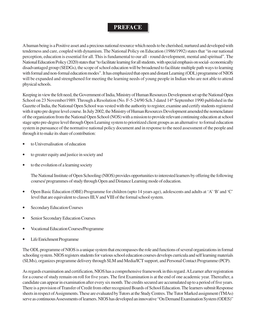#### **PREFACE**

A human being is a Positive asset and a precious national resource which needs to be cherished, nurtured and developed with tenderness and care, coupled with dynamism. The National Policy on Education (1986/1992) states that "in our national perception, education is essential for all. This is fundamental to our all - round development, mental and spiritual". The National Education Policy (2020) states that "to facilitate learning for all students, with special emphasis on social- economically disadvantaged group (SEDGs), the scope of school education will be broadened to facilitate multiple path ways to learning with formal and non-formal education modes". It has emphasized that open and distant Learning (ODL) programme of NIOS will be expanded and strengthened for meeting the learning needs of young people in Indian who are not able to attend physical schools.

Keeping in view the felt need, the Government of India, Ministry of Human Resources Development set up the National Open School on 23 November 1989. Through a Resolution (No. F-5-24/90 Sch.3 dated 14<sup>th</sup> September 1990 published in the Gazette of India, the National Open School was vested with the authority to register, examine and certify students registered with it upto pre degree level course. In July 2002, the Ministry of Human Resources Development amended the nomenclature of the organization from the National Open School (NOS) with a mission to provide relevant continuing education at school stage upto pre-degree level through Open Learning system to prioritized client groups as an alternative to formal education system in pursuance of the normative national policy document and in response to the need assessment of the people and through it to make its share of contribution:

- to Universalisation of education
- to greater equity and justice in society and
- to the evolution of a learning society

The National Institute of Open Schooling (NIOS) provides opportunities to interested learners by offering the following courses/ programmes of study through Open and Distance Learning mode of education.

- Open Basic Education (OBE) Programme for children (upto 14 years age), adolescents and adults at 'A' 'B' and 'C' level that are equivalent to classes III,V and VIII of the formal school system.
- **Secondary Education Courses**
- Senior Secondary Education Courses
- Vocational Education Courses/Programme
- Life Enrichment Programme

The ODL programme of NIOS is a unique system that encompasses the role and functions of several organizations in formal schooling system. NIOS registers students for various school education courses develops curricula and self learning materials (SLMs), organizes programme delivery through SLM and Media/ICT support, and Personal Contact Programme (PCP).

As regards examination and certification, NIOS has a comprehensive framework in this regard. A Learner after registration for a course of study remain on roll for five years. The first Examination is at the end of one academic year. Thereafter, a candidate can appear in examination after every six month. The credits secured are accumulated up to a period of five years. There is a provision of Transfer of Credit from other recognized Boards of School Education. The learners submit Response sheets in respect of Assignments. These are evaluated by Tutors at the Study Centres. The Tutor Marked assignment (TMAs) serve as continuous Assessments of learners. NIOS has developed an innovative "On Demand Examination System (ODES)"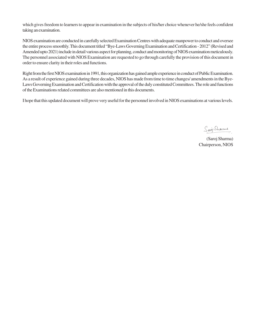which gives freedom to learners to appear in examination in the subjects of his/her choice whenever he/she feels confident taking an examination.

NIOS examination are conducted in carefully selected Examination Centres with adequate manpower to conduct and oversee the entire process smoothly. This document titled "Bye-Laws Governing Examination and Certification - 2012" (Revised and Amended upto 2021) include in detail various aspect for planning, conduct and monitoring of NIOS examination meticulously. The personnel associated with NIOS Examination are requested to go through carefully the provision of this document in order to ensure clarity in their roles and functions.

Right from the first NIOS examination in 1991, this organization has gained ample experience in conduct of Public Examination. As a result of experience gained during three decades, NIOS has made from time to time changes/ amendments in the Bye-Laws Governing Examination and Certification with the approval of the duly constituted Committees. The role and functions of the Examinations related committees are also mentioned in this documents.

I hope that this updated document will prove very useful for the personnel involved in NIOS examinations at various levels.

Saioj Sharmes

(Saroj Sharma) Chairperson, NIOS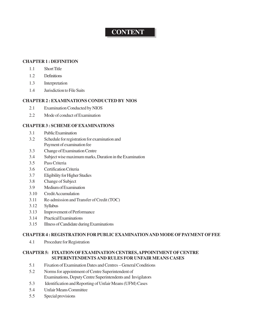## **CONTENT**

#### **CHAPTER 1 : DEFINITION**

- 1.1 Short Title
- 1.2 Definitions
- 1.3 Interpretation
- 1.4 Jurisdiction to File Suits

#### **CHAPTER 2 : EXAMINATIONS CONDUCTED BY NIOS**

- 2.1 Examination Conducted by NIOS
- 2.2 Mode of conduct of Examination

#### **CHAPTER 3 : SCHEME OF EXAMINATIONS**

- 3.1 Public Examination
- 3.2 Schedule for registration for examination and Payment of examination fee
- 3.3 Change of Examination Centre
- 3.4 Subject wise maximum marks, Duration in the Examination
- 3.5 Pass Criteria
- 3.6 Certification Criteria
- 3.7 Eligibility for Higher Studies
- 3.8 Change of Subject
- 3.9 Medium of Examination
- 3.10 Credit Accumulation
- 3.11 Re-admission and Transfer of Credit (TOC)
- 3.12 Syllabus
- 3.13 Improvement of Performance
- 3.14 Practical Examinations
- 3.15 Illness of Candidate during Examinations

#### **CHAPTER 4 : REGISTRATION FOR PUBLIC EXAMINATION AND MODE OF PAYMENT OF FEE**

4.1 Procedure for Registration

#### **CHAPTER 5: FIXATION OF EXAMINATION CENTRES, APPOINTMENT OF CENTRE SUPERINTENDENTS AND RULES FOR UNFAIR MEANS CASES**

- 5.1 Fixation of Examination Dates and Centres General Conditions
- 5.2 Norms for appointment of Centre Superintendent of Examinations, Deputy Centre Superintendents and Invigilators
- 5.3 Identification and Reporting of Unfair Means (UFM) Cases
- 5.4 Unfair Means Committee
- 5.5 Special provisions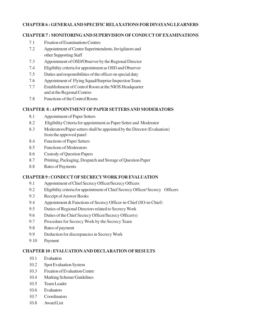#### **CHAPTER 6 : GENERALAND SPECIFIC RELAXATIONS FOR DIVAYANG LEARNERS**

#### **CHAPTER 7 : MONITORINGAND SUPERVISION OF CONDUCT OF EXAMINATIONS**

- 7.1 Fixation of Examinations Centres
- 7.2 Appointment of Centre Superintendents, Invigilators and other Supporting Staff
- 7.3 Appointment of OSD/Observer by the Regional Director
- 7.4 Eligibility criteria for appointment as OSD and Observer
- 7.5 Duties and responsibilities of the officer on special duty
- 7.6 Appointment of Flying Squad/Surprise Inspection Team
- 7.7 Establishment of Control Room at the NIOS Headquarter and at the Regional Centres
- 7.8 Functions of the Control Room

#### **CHAPTER 8 : APPOINTMENT OF PAPER SETTERS AND MODERATORS**

- 8.1 Appointment of Paper Setters
- 8.2 Eligibility Criteria for appointment as Paper Setter and Moderator
- 8.3 Moderators/Paper setters shall be appointed by the Director (Evaluation) from the approved panel
- 8.4 Functions of Paper Setters
- 8.5 Functions of Moderators
- 8.6 Custody of Question Papers
- 8.7 Printing, Packaging, Despatch and Storage of Question Paper
- 8.8 Rates of Payments

#### **CHAPTER 9 : CONDUCT OF SECRECYWORK FOR EVALUATION**

- 9.1 Appointment of Chief Secrecy Officer/Secrecy Officers
- 9.2 Eligibility criteria for appointment of Chief Secrecy Officer/ Secrecy Officers
- 9.3 Receipt of Answer Books
- 9.4 Appointment & Functions of Secrecy Officer-in-Chief (SO-in-Chief)
- 9.5 Duties of Regional Directors related to Secrecy Work
- 9.6 Duties of the Chief Secrecy Officer/Secrecy Officer(s)
- 9.7 Procedure for Secrecy Work by the Secrecy Team
- 9.8 Rates of payment
- 9.9 Deduction for discrepancies in Secrecy Work
- 9.10 Payment

#### **CHAPTER 10 : EVALUATION AND DECLARATION OF RESULTS**

- 10.1 Evaluation
- 10.2 Spot Evaluation System
- 10.3 Fixation of Evaluation Centre
- 10.4 Marking Scheme/ Guidelines
- 10.5 Team Leader
- 10.6 Evaluators
- 10.7 Coordinators
- 10.8 Award List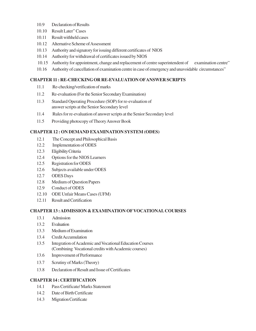- 10.9 Declaration of Results
- 10.10 Result Later" Cases
- 10.11 Result withheld cases
- 10.12 Alternative Scheme of Assessment
- 10.13 Authority and signatory for issuing different certificates of NIOS
- 10.14 Authority for withdrawal of certificates issued by NIOS
- 10.15 Authority for appointment, change and replacement of centre superintendent of examination centre"
- 10.16 Authority of cancellation of examination centre in case of emergency and unavoidable circumstances"

#### **CHAPTER 11 : RE-CHECKING OR RE-EVALUATION OFANSWER SCRIPTS**

- 11.1 Re-checking/verification of marks
- 11.2 Re-evaluation (For the Senior Secondary Examination)
- 11.3 Standard Operating Procedure (SOP) for re-evaluation of answer scripts at the Senior Secondary level
- 11.4 Rules for re-evaluation of answer scripts at the Senior Secondary level
- 11.5 Providing photocopy of Theory Answer Book

#### **CHAPTER 12 : ON DEMAND EXAMINATION SYSTEM (ODES)**

- 12.1 The Concept and Philosophical Basis
- 12.2 Implementation of ODES
- 12.3 Eligibility Criteria
- 12.4 Options for the NIOS Learners
- 12.5 Registration for ODES
- 12.6 Subjects available under ODES
- 12.7 ODES Days
- 12.8 Medium of Question Papers
- 12.9 Conduct of ODES
- 12.10 ODE Unfair Means Cases (UFM)
- 12.11 Result and Certification

#### **CHAPTER 13 : ADMISSION & EXAMINATION OF VOCATIONAL COURSES**

- 13.1 Admission
- 13.2 Evaluation
- 13.3 Medium of Examination
- 13.4 Credit Accumulation
- 13.5 Integration of Academic and Vocational Education Courses (Combining Vocational credits with Academic courses)
- 13.6 Improvement of Performance
- 13.7 Scrutiny of Marks (Theory)
- 13.8 Declaration of Result and Issue of Certificates

#### **CHAPTER 14 : CERTIFICATION**

- 14.1 Pass Certificate/ Marks Statement
- 14.2 Date of Birth Certificate
- 14.3 Migration Certificate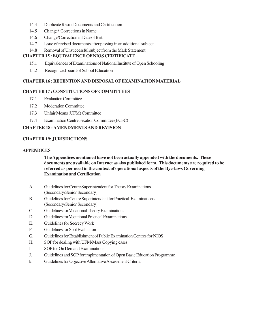- 14.4 Duplicate Result Documents and Certification
- 14.5 Change/ Corrections in Name
- 14.6 Change/Correction in Date of Birth
- 14.7 Issue of revised documents after passing in an additional subject
- 14.8 Removal of Unsuccessful subject from the Mark Statement

#### **CHAPTER 15 : EQUIVALENCE OF NIOS CERTIFICATE**

- 15.1 Equivalences of Examinations of National Institute of Open Schooling
- 15.2 Recognized board of School Education

#### **CHAPTER 16 : RETENTION AND DISPOSAL OF EXAMINATION MATERIAL**

#### **CHAPTER 17 : CONSTITUTIONS OF COMMITTEES**

- 17.1 Evaluation Committee
- 17.2 Moderation Committee
- 17.3 Unfair Means (UFM) Committee
- 17.4 Examination Centre Fixation Committee (ECFC)

#### **CHAPTER 18 : AMENDMENTS AND REVISION**

#### **CHAPTER 19: JURISDICTIONS**

#### **APPENDICES**

**The Appendices mentioned have not been actually appended with the documents. These documents are available on Internet as also published form. This documents are required to be referred as per need in the context of operational aspects of the Bye-laws Governing Examination and Certification**

- A. Guidelines for Centre Superintendent for Theory Examinations (Secondary/Senior Secondary)
- B. Guidelines for Centre Superintendent for Practical Examinations (Secondary/Senior Secondary)
- C Guidelines for Vocational Theory Examinations
- D. Guidelines for Vocational Practical Examinations
- E. Guidelines for Secrecy Work
- F. Guidelines for Spot Evaluation
- G. Guidelines for Establishment of Public Examination Centres for NIOS
- H. SOP for dealing with UFM/Mass Copying cases
- I. SOP for On Demand Examinations
- J. Guidelines and SOP for implmentation of Open Basic Education Programme
- k. Guidelines for Objective Alternative Assessment Criteria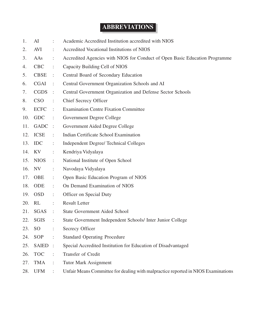# **ABBREVIATIONS**

| 1.  | AI              |                      | Academic Accredited Institution accredited with NIOS                              |
|-----|-----------------|----------------------|-----------------------------------------------------------------------------------|
| 2.  | AVI             | ÷                    | Accredited Vocational Institutions of NIOS                                        |
| 3.  | AAs             |                      | Accredited Agencies with NIOS for Conduct of Open Basic Education Programme       |
| 4.  | <b>CBC</b>      | ÷                    | Capacity Building Cell of NIOS                                                    |
| 5.  | <b>CBSE</b>     | ÷                    | Central Board of Secondary Education                                              |
| 6.  | <b>CGAI</b>     | ÷                    | Central Government Organization Schools and AI                                    |
| 7.  | <b>CGDS</b>     | $\sim 10$            | Central Government Organization and Defense Sector Schools                        |
| 8.  | <b>CSO</b>      | $\ddot{\phantom{a}}$ | Chief Secrecy Officer                                                             |
| 9.  | <b>ECFC</b>     | ÷                    | <b>Examination Centre Fixation Committee</b>                                      |
| 10. | <b>GDC</b>      | $\ddot{\phantom{a}}$ | Government Degree College                                                         |
| 11. | GADC :          |                      | Government Aided Degree College                                                   |
| 12. | <b>ICSE</b>     | ÷                    | Indian Certificate School Examination                                             |
| 13. | <b>IDC</b>      | ÷                    | <b>Independent Degree/ Technical Colleges</b>                                     |
|     | 14. KV          | $\ddot{\phantom{a}}$ | Kendriya Vidyalaya                                                                |
| 15. | <b>NIOS</b>     | $\ddot{\phantom{a}}$ | National Institute of Open School                                                 |
| 16. | NV              | ÷                    | Navodaya Vidyalaya                                                                |
| 17. | <b>OBE</b>      | $\ddot{\phantom{a}}$ | Open Basic Education Program of NIOS                                              |
| 18. | ODE             | ÷                    | On Demand Examination of NIOS                                                     |
| 19. | <b>OSD</b>      | ÷                    | Officer on Special Duty                                                           |
| 20. | RL              | $\ddot{\cdot}$       | <b>Result Letter</b>                                                              |
| 21. | <b>SGAS</b>     | $\sim$ 1.            | <b>State Government Aided School</b>                                              |
| 22. | <b>SGIS</b>     | ÷                    | State Government Independent Schools/ Inter Junior College                        |
| 23. | SO <sub>1</sub> |                      | Secrecy Officer                                                                   |
| 24. | SOP             |                      | <b>Standard Operating Procedure</b>                                               |
| 25. | <b>SAIED</b>    | $\ddot{\cdot}$       | Special Accredited Institution for Education of Disadvantaged                     |
| 26. | <b>TOC</b>      | ÷                    | Transfer of Credit                                                                |
| 27. | <b>TMA</b>      | ÷                    | <b>Tutor Mark Assignment</b>                                                      |
| 28. | <b>UFM</b>      |                      | Unfair Means Committee for dealing with malpractice reported in NIOS Examinations |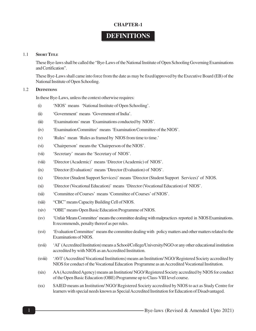# **DEFINITIONS**

#### 1.1 **SHORT TITLE**

These Bye-laws shall be called the "Bye-Laws of the National Institute of Open Schooling Governing Examinations and Certification".

These Bye-Laws shall came into force from the date as may be fixed/approved by the Executive Board (EB) of the National Institute of Open Schooling.

#### 1.2 **DEFINITIONS**

In these Bye-Laws, unless the context otherwise requires:

- (i) 'NIOS' means 'National Institute of Open Schooling'.
- (ii) 'Government' means 'Government of India'.
- (iii) 'Examinations' mean 'Examinations conducted by NIOS'.
- (iv) 'Examination Committee' means 'Examination Committee of the NIOS'.
- (v) 'Rules' mean 'Rules as framed by NIOS from time to time.'
- (vi) 'Chairperson' means the 'Chairperson of the NIOS'.
- (vii) 'Secretary' means the 'Secretary of NIOS'.
- (viii) 'Director (Academic)' means 'Director (Academic) of NIOS'.
- (ix) 'Director (Evaluation)' means 'Director (Evaluation) of NIOS'.
- (x) 'Director (Student Support Services)' means 'Director (Student Support Services)' of NIOS.
- (xi) 'Director (Vocational Education)' means 'Director (Vocational Education) of NIOS'.
- (xii) 'Committee of Courses' means 'Committee of Courses' of NIOS'.
- (xiii) "CBC" means Capacity Building Cell of NIOS.
- (xiv) "OBE" means Open Basic Education Programme of NIOS.
- (xv) 'Unfair Means Committee' means the committee dealing with malpractices reported in NIOS Examinations. It recommends, penalty thereof as per rules.
- (xvi) 'Evaluation Committee' means the committee dealing with policy matters and other matters related to the Examinations of NIOS.
- (xvii) 'AI' (Accredited Institution) means a School/College/University/NGO or any other educational institution accredited by with NIOS as an Accredited Institution.
- (xviii) 'AVI' (Accredited Vocational Institutions) means an Institution/ NGO/ Registered Society accredited by NIOS for conduct of the Vocational Education Programme as an Accredited Vocational Institution.
- (xix) AA (Accredited Agency) means an Institution/ NGO/ Registered Society accredited by NIOS for conduct of the Open Basic Education (OBE) Programme up to Class-VIII level course.
- (xx) SAIED means an Institution/ NGO/ Registered Society accredited by NIOS to act as Study Centre for learners with special needs known as Special Accredited Institution for Education of Disadvantaged.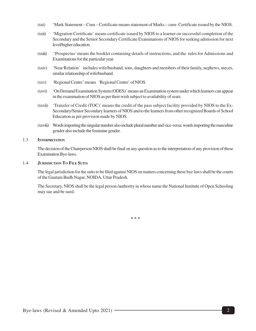- (xxi) 'Mark Statement Cum Certificate means statement of Marks cum- Certificate issued by the NIOS.
- (xxii) 'Migration Certificate' means certificate issued by NIOS to a learner on successful completion of the Secondary and the Senior Secondary Certificate Examinations of NIOS for seeking admission for next level/higher education.
- (xxiii) 'Prospectus' means the booklet containing details of instructions, and the rules for Admissions and Examinations for the particular year.
- (xxiv) 'Near Relation' includes wife/husband, sons, daughters and members of their family, nephews, nieces, similar relationship of wife/husband.
- (xxv) 'Regional Centre' means 'Regional Centre' of NIOS.
- (xxvi) 'On Demand Examination System (ODES)' means an Examination system under which learners can appear in the examination of NIOS as per their wish subject to availability of seats.
- (xxvii) 'Transfer of Credit (TOC)' means the credit of the pass subject facility provided by NIOS to the Ex-Secondary/Senior Secondary learners of NIOS and to the learners from other recognized Boards of School Education as per provision made by NIOS.
- (xxviii) Words importing the singular number also include plural number and vice-versa; words importing the masculine gender also include the feminine gender.

#### 1.3 **INTERPRETATION**

The decision of the Chairperson NIOS shall be final on any question as to the interpretation of any provision of these Examination Bye-laws.

#### 1.4 **JURISDICTION TO FILE SUITS**

The legal jurisdiction for the suits to be filed against NIOS on matters concerning these bye laws shall be the courts of the Gautam Budh Nagar, NOIDA, Uttar Pradesh.

The Secretary, NIOS shall be the legal person /authority in whose name the National Institute of Open Schooling may sue and be sued.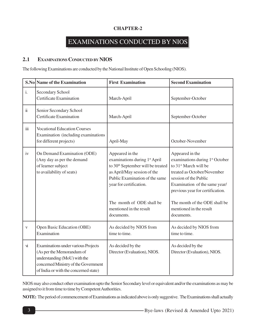# EXAMINATIONS CONDUCTED BY NIOS

#### **2.1 EXAMINATIONS CONDUCTED BY NIOS**

The following Examinations are conducted by the National Institute of Open Schooling (NIOS).

|                         | S.No Name of the Examination                                                                                                                                                      | <b>First Examination</b>                                                                                                                                                                      | <b>Second Examination</b>                                                                                                                                                                                                        |
|-------------------------|-----------------------------------------------------------------------------------------------------------------------------------------------------------------------------------|-----------------------------------------------------------------------------------------------------------------------------------------------------------------------------------------------|----------------------------------------------------------------------------------------------------------------------------------------------------------------------------------------------------------------------------------|
| $\mathbf{i}$ .          | Secondary School<br>Certificate Examination                                                                                                                                       | March-April                                                                                                                                                                                   | September-October                                                                                                                                                                                                                |
| $\ddot{\rm{11}}$        | Senior Secondary School<br><b>Certificate Examination</b>                                                                                                                         | March-April                                                                                                                                                                                   | September-October                                                                                                                                                                                                                |
| $\overline{\text{iii}}$ | <b>Vocational Education Courses</b><br>Examination (including examinations<br>for different projects)                                                                             | April-May                                                                                                                                                                                     | October-November                                                                                                                                                                                                                 |
| iv                      | On Demand Examination (ODE)<br>(Any day as per the demand<br>of learner subject<br>to availability of seats)                                                                      | Appeared in the<br>examinations during 1st April<br>to 30 <sup>th</sup> September will be treated<br>as April/May session of the<br>Public Examination of the same<br>year for certification. | Appeared in the<br>examinations during 1 <sup>st</sup> October<br>to 31 <sup>st</sup> March will be<br>treated as October/November<br>session of the Public<br>Examination of the same year/<br>previous year for certification. |
|                         |                                                                                                                                                                                   | The month of ODE shall be<br>mentioned in the result<br>documents.                                                                                                                            | The month of the ODE shall be<br>mentioned in the result<br>documents.                                                                                                                                                           |
| $\mathbf{V}$            | Open Basic Education (OBE)<br>Examination                                                                                                                                         | As decided by NIOS from<br>time to time.                                                                                                                                                      | As decided by NIOS from<br>time to time.                                                                                                                                                                                         |
| $\dot{M}$               | Examinations under various Projects<br>(As per the Memorandum of<br>understanding (MoU) with the<br>concerned Ministry of the Government<br>of India or with the concerned state) | As decided by the<br>Director (Evaluation), NIOS.                                                                                                                                             | As decided by the<br>Director (Evaluation), NIOS.                                                                                                                                                                                |

NIOS may also conduct other examination upto the Senior Secondary level or equivalent and/or the examinations as may be assigned to it from time to time by Competent Authorities.

**NOTE:** The period of commencement of Examinations as indicated above is only suggestive. The Examinations shall actually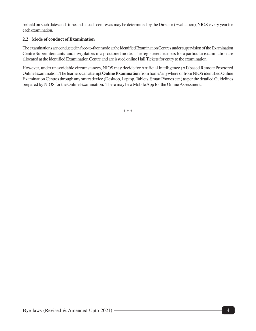be held on such dates and time and at such centres as may be determined by the Director (Evaluation), NIOS every year for each examination.

#### **2.2 Mode of conduct of Examination**

The examinations are conducted in face-to-face mode at the identified Examination Centres under supervision of the Examination Centre Superintendants and invigilators in a proctored mode. The registered learners for a particular examination are allocated at the identified Examination Centre and are issued online Hall Tickets for entry to the examination.

However, under unavoidable circumstances, NIOS may decide for Artificial Intelligence (AI) based Remote Proctored Online Examination. The learners can attempt **Online Examination** from home/ anywhere or from NIOS identified Online Examination Centres through any smart device (Desktop, Laptop, Tablets, Smart Phones etc.) as per the detailed Guidelines prepared by NIOS for the Online Examination. There may be a Mobile App for the Online Assessment.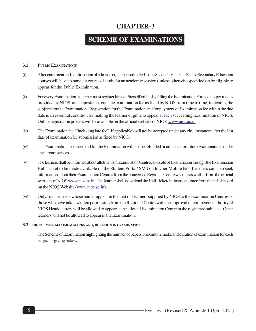# **SCHEME OF EXAMINATIONS**

#### **3.1 PUBLIC EXAMINATIONS**

- (i) After enrolment and confirmation of admission, learners admitted to the Secondary and the Senior Secondary Education courses will have to pursue a course of study for an academic session (unless otherwise specified) to be eligible to appear for the Public Examination.
- (ii) For every Examination, a learner must register himself/herself online by filling the Examination Form, or as per modes provided by NIOS, and deposit the requisite examination fee as fixed by NIOS from time to time, indicating the subjects for the Examination. Registration for the Examination and for payment of Examination fee within the due date is an essential condition for making the learner eligible to appear at each succeeding Examination of NIOS. Online registration process will be available on the official website of NIOS www.nios.ac.in.
- (iii) The Examination fee ("including late fee", if applicable) will not be accepted under any circumstances after the last date of examination fee submission as fixed by NIOS.
- (iv) The Examination fee once paid for the Examination will not be refunded or adjusted for future Examinations under any circumstances.
- (v) The learners shall be informed about allotment of Examination Centres and date of Examination through the Examination Hall Ticket to be made available on the Student Portal/ SMS on his/her Mobile No. Learners can also seek information about their Examination Centres from the concerned Regional Centre website as well as from the official websites of NIOS www.nios.ac.in . The learner shall download the Hall Ticket/ Intimation Letter from their dashboard on the NIOS Website (www.nios.ac.in).
- (vi) Only such learners whose names appear in the List of Learners supplied by NIOS to the Examination Centres or those who have taken written permission from the Regional Centre with the approval of competent authority of NIOS Headquarters will be allowed to appear at the allotted Examination Centre in the registered subjects. Other learners will not be allowed to appear in the Examination.

#### **3.2 SUBJECT WISE MAXIMUM MARKS AND, DURATION IN EXAMINATION**

The Scheme of Examination highlighting the number of papers, maximum marks and duration of examination for each subject is giving below.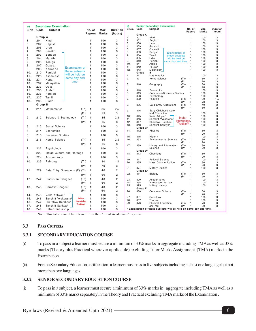| a)  | <b>Secondary Examination</b><br>S.No. Code<br><b>Subject</b><br>No. of<br>Max.<br><b>Duration</b> |                         |                                |               |              | b)<br>S.No.    | Code       | <b>Senior Secondary Examination</b><br><b>Subject</b> | No. of                                                           | Max.                                   | <b>Duration</b> |                              |
|-----|---------------------------------------------------------------------------------------------------|-------------------------|--------------------------------|---------------|--------------|----------------|------------|-------------------------------------------------------|------------------------------------------------------------------|----------------------------------------|-----------------|------------------------------|
|     |                                                                                                   |                         |                                | <b>Papers</b> | <b>Marks</b> | (hours)        |            |                                                       |                                                                  | Papers                                 | Marks           | (hours)                      |
|     | Group A                                                                                           |                         |                                |               |              |                | 1.         | <b>Group A</b><br>301                                 | Hindi                                                            | $\mathbf{1}$                           | 100             | 3                            |
| 1.  | 201                                                                                               | Hindi                   |                                | 1             | 100          | 3              | 2.         | 302                                                   | English                                                          | 1                                      | 100             | 3                            |
| 2.  | 202                                                                                               | English                 |                                | 1             | 100          | 3              | 3.         | 306                                                   | Urdu                                                             | $\overline{1}$                         | 100             | 3                            |
| 3.  | 206                                                                                               | Urdu                    |                                | 1             | 100          | 3              | 4.         | 309                                                   | Sanskrit                                                         | $\mathbf{1}$                           | 100             | 3                            |
| 4.  | 209                                                                                               | Sanskrit                |                                | 1             | 100          | 3              | 5.<br>6.   | 307<br>303                                            | Gujarati<br>Bengali                                              | 1<br>$\mathbf{1}$                      | 100<br>100      | 3<br>3                       |
| 5.  | 203                                                                                               | Bengali                 |                                | 1             | 100          | 3              | 7.         | 304                                                   | <b>Examination of</b><br>Tamil<br>these subjects                 | $\mathbf{1}$                           | 100             | 3                            |
| 6.  | 204                                                                                               | Marathi                 |                                | 1             | 100          | 3              | 8.         | 305                                                   | Odia<br>will be held on                                          | $\mathbf{1}$                           | 100             | 3                            |
| 7.  | 205                                                                                               | Telugu                  |                                | 1             | 100          | 3              | 9.         | 310                                                   | Punjabi<br>same day and time.                                    | $\mathbf{1}$                           | 100             | 3                            |
| 8.  | 207                                                                                               | Gujarati                |                                | 1             | 100          | 3              | 10.        | 341                                                   | Arabic                                                           | $\overline{1}$                         | 100             | 3                            |
| 9.  | 208                                                                                               | Kannada                 | <b>Examination of</b>          | 1             | 100          | 3              | 11.<br>12. | 342<br>343                                            | Persian<br>Malayalam                                             | $\overline{1}$<br>$\mathbf{1}$         | 100<br>100      | 3<br>3                       |
| 10. | 210                                                                                               | Punjabi                 | these subjects                 | 1             | 100          | 3              |            | Group                                                 | в                                                                |                                        |                 |                              |
| 11. | 228                                                                                               | Assamese                | will be held on                | $\mathbf{1}$  | 100          | 3              | 1.         | 311                                                   | Mathematics                                                      | $\mathbf{1}$                           | 100             | 3                            |
| 12. | 231                                                                                               | Nepali                  | same day and                   | $\mathbf{1}$  | 100          | 3              | 2.         | 321                                                   | Home Science                                                     | (Th)<br>$\mathbf{1}$                   | 80              | 3                            |
| 13. | 232                                                                                               | Malayalam               | time.                          | $\mathbf{1}$  | 100          | 3              |            |                                                       |                                                                  | (Pr)<br>$\mathbf{1}$                   | 20              | 3                            |
| 14. | 233                                                                                               | Odia                    |                                | 1             | 100          | 3              | 3.         | 316                                                   | Geography                                                        | (Th)<br>1                              | 80              | 3                            |
| 15. | 235                                                                                               |                         |                                | 1             | 100          | 3              | 4.         | 318                                                   | Economics                                                        | (Pr)<br>$\mathbf{1}$<br>$\overline{1}$ | 20<br>100       | 3<br>3                       |
|     |                                                                                                   | Arabic                  |                                |               |              |                | 5.         | 319                                                   | Commerce/Business Studies                                        | $\mathbf{1}$                           | 100             | 3                            |
| 16. | 236                                                                                               | Persian                 |                                | 1             | 100          | 3              | 6.         | 328                                                   | Psychology                                                       | $\mathbf{1}$                           | 100             | 3                            |
| 17. | 237                                                                                               | Tamil                   |                                | 1             | 100          | 3              | 7.         | 332                                                   | Painting                                                         | (Th)<br>1                              | 30              | 11/2                         |
| 18. | 238                                                                                               | Sindhi                  |                                | 1             | 100          | 3              |            |                                                       |                                                                  | (Pr)<br>3                              | 70              | 6                            |
|     | Group B                                                                                           |                         |                                |               |              |                | 8.         | 336                                                   | Data Entry Operations                                            | (Th)<br>$\mathbf{1}$                   | 40              | $\overline{c}$               |
| 1.  | 211                                                                                               | Mathematics             | (Th)                           | $\mathbf{1}$  | 85           | $2\frac{1}{2}$ | 9.         | 376                                                   | Early Childhood Care                                             | (Pr)<br>$\mathbf{1}$                   | 60              | $\overline{c}$               |
|     |                                                                                                   |                         | (Pr)                           | $\mathbf{1}$  | 15           | 3              |            |                                                       | and Education                                                    | $\overline{1}$                         | 100             | 3                            |
|     |                                                                                                   |                         |                                |               |              |                | 10.        | 345                                                   | Veda Adhyan <sup>#</sup>                                         |                                        | 100             | 3                            |
| 2.  | 212                                                                                               | Science & Technology    | (Th)                           | $\mathbf{1}$  | 85           | $2\frac{1}{2}$ | 11.        | 346                                                   | Sanskrit Vyakarana <sup>®</sup>                                  | Indian<br>Knowledge;                   | 100             | 3                            |
|     |                                                                                                   |                         | (Pr)                           | 1             | 15           | 3              | 12.        | 347                                                   | Bharatiya Darshan#                                               | Tradition <sup>#</sup> $1$             | 100             | 3                            |
| З.  | 213                                                                                               | Social Science          |                                | $\mathbf{1}$  | 100          | 3              | 13.        | 348<br>Group C*                                       | Sanskrit Sahitya#                                                |                                        | 100             | 3                            |
| 4.  | 214                                                                                               | Economics               |                                | 1             | 100          | 3              | 14.        | 312                                                   | Physics                                                          | (Th)<br>$\mathbf{1}$                   | 80              | 3                            |
| 5.  | 215                                                                                               | <b>Business Studies</b> |                                | 1             | 100          | 3              |            |                                                       |                                                                  | (Pr)<br>$\overline{1}$                 | 20              | 3                            |
|     |                                                                                                   |                         |                                |               |              |                | 15.        | 315                                                   | History                                                          | $\overline{1}$                         | 100             | 3                            |
| 6.  | 216                                                                                               | Home Science            | (Th)                           | $\mathbf{1}$  | 85           | $2\frac{1}{2}$ | 16.        | 333                                                   | <b>Environmental Science</b>                                     | (Th)<br>$\overline{1}$                 | 80              | 3                            |
|     |                                                                                                   |                         | (Pr)                           | $\mathbf{1}$  | 15           | 3              | 17.        | 339                                                   | Library and Information                                          | (Pr)<br>1<br>(Th)<br>1                 | 20<br>80        | 3<br>3                       |
| 7.  | 222                                                                                               | Psychology              |                                | $\mathbf{1}$  | 100          | 3              |            |                                                       | Science                                                          | (Pr)<br>$\mathbf{1}$                   | 20              | 3                            |
| 8.  | 223                                                                                               |                         | Indian Culture and Heritage    | $\mathbf{1}$  | 100          | 3              |            | Group D*                                              |                                                                  |                                        |                 |                              |
|     |                                                                                                   |                         |                                |               |              |                | 18.        | 313                                                   | Chemistry                                                        | (Th)<br>$\overline{1}$                 | 80              | 3                            |
| 9.  | 224                                                                                               | Accountancy             |                                | $\mathbf{1}$  | 100          | 3              | 19.        | 317                                                   | <b>Political Science</b>                                         | (Pr)<br>$\mathbf{1}$<br>$\overline{1}$ | 20<br>100       | 3<br>3                       |
| 10. | 225                                                                                               | Painting                | (Th)                           | $\mathbf{1}$  | 30           | 11/2           | 20.        | 335                                                   | <b>Mass Communication</b>                                        | (Th)<br>$\mathbf{1}$                   | 80              |                              |
|     |                                                                                                   |                         | (Pr)                           | $\mathbf{1}$  | 70           | 3              |            |                                                       |                                                                  | (Pr)<br>$\mathbf{1}$                   | 20              | ვ<br>ვ                       |
|     |                                                                                                   |                         |                                |               |              |                | 21.        | 374                                                   | <b>Military Studies</b>                                          | $\mathbf{1}$                           | 100             | 3                            |
| 11. | 229                                                                                               |                         | Data Entry Operations (E) (Th) | $\mathbf{1}$  | 40           | 2              |            | Group E*                                              |                                                                  |                                        |                 | 3                            |
|     |                                                                                                   |                         | (Pr)                           | $\mathbf{1}$  | 60           | 2              | 22.        | 314                                                   | Biology                                                          | (Th)<br>1<br>(Pr)<br>$\mathbf{1}$      | 80<br>20        | 3                            |
| 12. | 242                                                                                               | Hindustani Sangeet      | (Th)                           | $\mathbf{1}$  | 40           | 2              | 23.        | 320                                                   | Accountancy                                                      | $\mathbf{1}$                           | 100             | 3                            |
|     |                                                                                                   |                         | (Pr)                           | $\mathbf{1}$  | 60           | 2              | 24.        | 338                                                   | Introduction to Law                                              | $\mathbf{1}$                           | 100             | 3                            |
| 13. | 243                                                                                               | Carnatic Sangeet        | (Th)                           | $\mathbf{1}$  | 40           | $\overline{c}$ | 25.        | 375                                                   | Military History                                                 | $\overline{1}$                         | 100             | 3                            |
|     |                                                                                                   |                         | (Pr)                           | $\mathbf{1}$  | 60           | 2              |            | Group F*                                              |                                                                  |                                        |                 |                              |
|     |                                                                                                   |                         |                                |               |              | 3              | 26.        | 330                                                   | Computer Science                                                 | (Th)<br>1<br>(Pr)<br>$\mathbf{1}$      | 60<br>40        | 3<br>$\overline{\mathbf{c}}$ |
| 14. | 245                                                                                               | Veda Adhyan#            | Indian                         | 1             | 100          |                | 27.        | 331                                                   | Sociology                                                        | 1                                      | 100             | 3                            |
| 15. | 246                                                                                               | Sanskrit Vyakarana#     | <b>Knowledge</b>               | 1             | 100          | 3              | 28.        | 337                                                   | Tourism                                                          | 1                                      | 100             | 3                            |
| 16. | 247                                                                                               | Bharatiya Darshan#      | <b>Tradition®</b>              | $\mathbf{1}$  | 100          | 3              | 29.        | 373                                                   | Physical Education                                               | (Th)<br>$\overline{1}$                 | 70              | 3                            |
| 17. | 248                                                                                               | Sanskrit Sahitya#       |                                | 1             | 100          | 3              |            |                                                       | and Yog                                                          | (Pr)<br>1                              | 30              | 3                            |
| 18. | 249                                                                                               | Entrepreneurship        |                                | $\mathbf{1}$  | 100          | 3              |            |                                                       | Examination of these subjects will be held on same day and time. |                                        |                 |                              |

Note: This table should be referred from the Current Academic Prospectus.

#### **3.3 PASS CRITERIA**

#### **3.3.1 SECONDARY EDUCATION COURSE**

- (i) To pass in a subject a learner must secure a minimum of  $33\%$  marks in aggregate including TMA as well as  $33\%$ marks (Theory plus Practical wherever applicable) excluding Tutor Marks Assignment (TMA) marks in the Examination.
- (ii) For the Secondary Education certification, a learner must pass in five subjects including at least one language but not more than two languages.

#### **3.3.2 SENIOR SECONDARY EDUCATION COURSE**

(i) To pass in a subject, a learner must secure a minimum of 33% marks in aggregate including TMA as well as a minimum of 33% marks separately in the Theory and Practical excluding TMA marks of the Examination .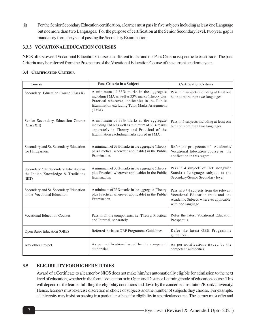(ii) For the Senior Secondary Education certification, a learner must pass in five subjects including at least one Language but not more than two Languages. For the purpose of certification at the Senior Secondary level, two year gap is mandatory from the year of passing the Secondary Examination.

#### **3.3.3 VOCATIONAL EDUCATION COURSES**

NIOS offers several Vocational Education Courses in different trades and the Pass Criteria is specific to each trade. The pass Criteria may be referred from the Prospectus of the Vocational Education Course of the current academic year.

#### **3.4 CERTIFICATION CRITERIA**

| <b>Course</b>                                                                        | Pass Criteria in a Subject                                                                                                                                                                              | <b>Certification Criteria</b>                                                                                                                |
|--------------------------------------------------------------------------------------|---------------------------------------------------------------------------------------------------------------------------------------------------------------------------------------------------------|----------------------------------------------------------------------------------------------------------------------------------------------|
| Secondary Education Course (Class X)                                                 | A minimum of 33% marks in the aggregate<br>including TMA as well as 33% marks (Theory plus<br>Practical wherever applicable) in the Public<br>Examination excluding Tutor Marks Assignment<br>$(TMA)$ . | Pass in 5 subjects including at least one<br>but not more than two languages.                                                                |
| Senior Secondary Education Course<br>(Class XII)                                     | A minimum of 33% marks in the aggregate<br>including TMA as well as minimum of 33% marks<br>separately in Theory and Practical of the<br>Examination excluding marks scored in TMA.                     | Pass in 5 subjects including at least one<br>but not more than two languages.                                                                |
| Secondary and Sr. Secondary Education<br>for ITI Learners                            | A minimum of 33% marks in the aggregate (Theory<br>plus Practical wherever applicable) in the Public<br>Examination.                                                                                    | Refer the prospectus of Academic/<br>Vocational Education course or the<br>notification in this regard.                                      |
| Secondary / Sr. Secondary Education in<br>the Indian Knowledge & Traditions<br>(IKT) | A minimum of 33% marks in the aggregate (Theory<br>plus Practical wherever applicable) in the Public<br>Examination.                                                                                    | Pass in 4 subjects of IKT alongwith<br>Sanskrit Language subject at the<br>Secondary/Senior Secondary level.                                 |
| Secondary and Sr. Secondary Education<br>in the Vocational Education                 | A minimum of 33% marks in the aggregate (Theory<br>plus Practical wherever applicable) in the Public<br>Examination.                                                                                    | Pass in 3/4 subjects from the relevant<br>Vocational Education trade and one<br>Academic Subject, wherever applicable,<br>with one language. |
| <b>Vocational Education Courses</b>                                                  | Pass in all the components, i.e. Theory, Practical<br>and Internal, separately                                                                                                                          | Refer the latest Vocational Education<br>Prospectus                                                                                          |
| Open Basic Education (OBE)                                                           | Referred the latest OBE Programme Guidelines                                                                                                                                                            | Refer the latest OBE Programme<br>guidelines.                                                                                                |
| Any other Project                                                                    | As per notifications issued by the competent<br>authorities                                                                                                                                             | As per notifications issued by the<br>competent authorities                                                                                  |

#### **3.5 ELIGIBILITY FOR HIGHER STUDIES**

Award of a Certificate to a learner by NIOS does not make him/her automatically eligible for admission to the next level of education, whether in the formal education or in Open and Distance Learning mode of education course. This will depend on the learner fulfilling the eligibility conditions laid down by the concerned Institution/Board/University. Hence, learners must exercise discretion in choice of subjects and the number of subjects they choose. For example, a University may insist on passing in a particular subject for eligibility in a particular course. The learner must offer and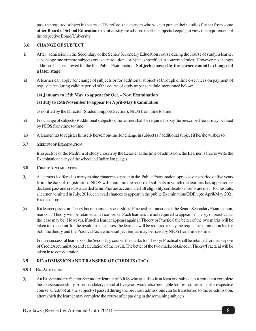pass the required subject in that case. Therefore, the learners who wish to pursue their studies further from some **other Board of School Education or University** are advised to offer subjects keeping in view the requirement of the respective Board/University.

#### **3.6 CHANGE OF SUBJECT**

- (i) After admission in the Secondary or the Senior Secondary Education course during the course of study, a learner can change one or more subjects or take an additional subject as specified in concerned rules. However, no change/ addition shall be allowed for the first Public Examination. **Subject(s) passed by the learner cannot be changed at a later stage.**
- (ii) A learner can apply for change of subjects or for additional subject(s) through online e-services on payment of requisite fee during validity period of the course of study as per schedule mentioned below:

#### **1st January to 15th May to appear for Oct. – Nov. Examination**

#### **1st July to 15th November to appear forApril-May Examination**

as notified by the Director (Student Support Section), NIOS from time to time

- (ii) For change of subject(s)/ additional subject(s), the learner shall be required to pay the prescribed fee as may be fixed by NIOS from time to time.
- (iii) A learner has to register himself/ herself on-line for change in subject (s)/ additional subject if he/she wishes so.

#### **3.7 MEDIUM OF EXAMINATION**

Irrespective of the Medium of study chosen by the Learner at the time of admission, the Learner is free to write the Examination in any of the scheduled Indian languages.

#### **3.8 CREDIT ACCUMULATION**

- (i) A learners is offered as many as nine chances to appear in the Public Examination, spread over a period of five years from the date of registration. NIOS will maintain the record of subjects in which the learners has appeared or declared pass and credits awarded to him/her are accumulated till eligibility certification norms are met. To illustrate, a learner admitted in July, 2016, can avail chances to appear in the public Examination/ODE upto April/May 2021 Examinations.
- (ii) If a learner passes in Theory but remains un-successful in Practical examination of the Senior Secondary Examination, marks in Theory will be retained and vice- versa. Such learners are not required to appear in Theory or practical as the case may be. However, if such a learner appears again in Theory or Practical the better of the two marks will be taken into account for the result. In such cases, the learners will be required to pay the requisite examination fee for both the theory and the Practical (as a whole subject fee) as may be fixed by NIOS from time to time.

For un-successful learners of the Secondary course, the marks for Theory/ Practical shall be retained for the purpose of Credit Accumulation and calculation of the result. The better of the two marks obtained in Theory/Practical will be taken in to consideration.

#### **3.9 RE-ADMISSION AND TRANSFER OF CREDITS (TOC)**

#### **3.9.1 RE-ADMISSION**

(i) An Ex-Secondary /Senior Secondary learner of NIOS who qualifies in at least one subject, but could not complete the course successfully in the mandatory period of five years would also be eligible for fresh admission in the respective course. Credit of all the subject(s) passed during the previous admissions can be transferred to the re-admission, after which the learner may complete the course after passing in the remaining subjects.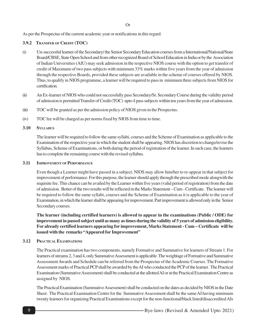As per the Prospectus of the current academic year or notifications in this regard.

#### **3.9.2 TRANSFER OF CREDIT (TOC)**

- (i) Un-successful learner of the Secondary/ the Senior Secondary Education courses from a International/National/State Board/CBSE, State Open School and from other recognized Board of School Education in India or by the Association of Indian Universities (AIU) may seek admission in the respective NIOS course with the option to get transfer of credit of Maximum of two pass subjects with minimum 33% marks within five years from the year of admission through the respective Boards, provided these subjects are available in the scheme of courses offered by NIOS. Thus, to qualify in NIOS programme, a learner will be required to pass in minimum three subjects from NIOS for certification.
- (ii) An Ex-learner of NIOS who could not successfully pass Secondary/Sr. Secondary Course during the validity period of admission is permitted Transfer of Credit (TOC) upto 4 pass subjects within ten years from the year of admission.
- (iii) TOC will be granted as per the admission policy of NIOS given in the Prospectus.
- (iv) TOC fee will be charged as per norms fixed by NIOS from time to time.

#### **3.10 SYLLABUS**

The learner will be required to follow the same syllabi, courses and the Scheme of Examination as applicable to the Examination of the respective year in which the student shall be appearing. NIOS has discretion to change/revise the Syllabus, Scheme of Examinations, or both during the period of registration of the learner. In such case, the learners has to complete the remaining course with the revised syllabus.

#### **3.11 IMPROVEMENT OF PERFORMANCE**

Even though a Learner might have passed in a subject, NIOS may allow him/her to re-appear in that subject for improvement of performance. For this purpose, the learner should apply through the prescribed mode alongwith the requisite fee. This chance can be availed by the Learner within five years (valid period of registration) from the date of admission. Better of the two results will be reflected in the Marks Statement – Cum - Certificate. The learner will be required to follow the same syllabi, courses and the Scheme of Examination as it is applicable to the year of Examination, in which the learner shall be appearing for improvement. Part improvement is allowed only in the Senior Secondary courses.

**The learner (including certified learners) is allowed to appear in the examinations (Public / ODE) for improvement in passed subject until as many as times during the validity of 5 years of admission eligibility. For already certified learners appearing for improvement, Marks Statement - Cum – Certificate will be issued with the remarks "Appeared for Improvement"**

#### **3.12 PRACTICAL EXAMINATIONS**

The Practical examination has two components, namely Formative and Summative for learners of Stream 1. For learners of streams 2, 3 and 4, only Summative Assessment is applicable. The weightage of Formative and Summative Assessment Awards and Schedule can be referred from the Prospectus of the Academic Courses. The Formative Assessment marks of Practical PCP shall be awarded by the AI who conducted the PCP of the learner. The Practical Examination (Summative Assessment) shall be conducted at the allotted AI or at the Practical Examination Centre as assigned by NIOS.

The Practical Examination (Summative Assessment) shall be conducted on the dates as decided by NIOS in the Date Sheet. The Practical Examination Centre for the Summative Assessment shall be the same AI having minimum twenty learners for organizing Practical Examinations except for the non-functional/black listed/disaccredited AIs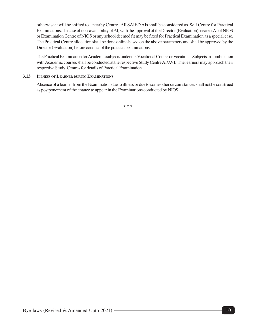otherwise it will be shifted to a nearby Centre. All SAIED AIs shall be considered as Self Centre for Practical Examinations. In case of non-availability of AI, with the approval of the Director (Evaluation), nearest AI of NIOS or Examination Centre of NIOS or any school deemed fit may be fixed for Practical Examination as a special case. The Practical Centre allocation shall be done online based on the above parameters and shall be approved by the Director (Evaluation) before conduct of the practical examinations.

The Practical Examination for Academic subjects under the Vocational Course or Vocational Subjects in combination with Academic courses shall be conducted at the respective Study Centre AI/AVI. The learners may approach their respective Study Centres for details of Practical Examination.

#### **3.13 ILLNESS OF LEARNER DURING EXAMINATIONS**

Absence of a learner from the Examination due to illness or due to some other circumstances shall not be construed as postponement of the chance to appear in the Examinations conducted by NIOS.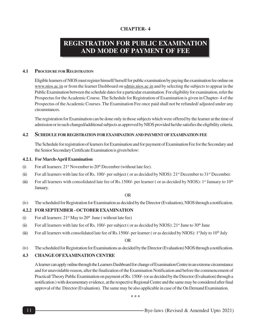## **REGISTRATION FOR PUBLIC EXAMINATION AND MODE OF PAYMENT OF FEE**

#### **4.1 PROCEDURE FOR REGISTRATION**

Eligible learners of NIOS must register himself/ herself for public examination by paying the examination fee online on www.nios.ac.in or from the learner Dashboard on sdmis.nios.ac.in and by selecting the subjects to appear in the Public Examination between the schedule dates for a particular examination. For eligibility for examination, refer the Prospectus for the Academic Course. The Schedule for Registration of Examination is given in Chapter- 4 of the Prospectus of the Academic Courses. The Examination Fee once paid shall not be refunded/ adjusted under any circumstances.

The registration for Examination can be done only in those subjects which were offered by the learner at the time of admission or in such changed/additional subjects as approved by NIOS provided he/she satisfies the eligibility criteria.

#### **4.2 SCHEDULE FOR REGISTRATION FOR EXAMINATION AND PAYMENT OF EXAMINATION FEE**

The Schedule for registration of learners for Examination and for payment of Examination Fee for the Secondary and the Senior Secondary Certificate Examination is given below:

#### **4.2.1. For March-April Examination**

- (i) For all learners:  $21<sup>st</sup>$  November to  $20<sup>th</sup>$  December (without late fee).
- (ii) For all learners with late fee of Rs. 100/- per subject ( or as decided by NIOS):  $21<sup>st</sup>$  December to  $31<sup>st</sup>$  December.
- (iii) For all learners with consolidated late fee of Rs.1500/- per learner (or as decided by NIOS):  $1<sup>st</sup>$  January to  $10<sup>th</sup>$ January.

OR

(iv) The scheduled for Registration for Examination as decided by the Director (Evaluation), NIOS through a notification.

#### **4.2.2 FOR SEPTEMBER - OCTOBER EXAMINATION**

- (i) For all learners:  $21<sup>st</sup>$  May to  $20<sup>th</sup>$  June (without late fee)
- (ii) For all learners with late fee of Rs. 100/- per subject (or as decided by NIOS):  $21<sup>st</sup>$  June to  $30<sup>th</sup>$  June
- (iii) For all learners with consolidated late fee of Rs.1500/- per learner (or as decided by NIOS): 1stJuly to 10<sup>th</sup> July

OR

(iv) The scheduled for Registration for Examinations as decided by the Director (Evaluation) NIOS through a notification.

#### **4.3 CHANGE OF EXAMINATION CENTRE**

A learner can apply online through the Learners Dashboard for change of Examination Centre in an extreme circumstance and for unavoidable reason, after the finalization of the Examination Notification and before the commencement of Practical/ Theory Public Examination on payment of Rs. 1500/- (or as decided by the Director (Evaluation) through a notification ) with documentary evidence, at the respective Regional Centre and the same may be considered after final approval of the Director (Evaluation). The same may be also applicable in case of the On Demand Examination.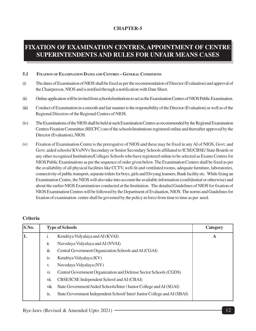# **FIXATION OF EXAMINATION CENTRES, APPOINTMENT OF CENTRE SUPERINTENDENTS AND RULES FOR UNFAIR MEANS CASES**

#### **5.1 FIXATION OF EXAMINATION DATES AND CENTRES – GENERAL CONDITIONS**

- (i) The dates of Examination of NIOS shall be fixed as per the recommendation of Director (Evaluation) and approval of the Chairperson, NIOS and is notified through a notification with Date Sheet.
- (ii) Online application will be invited from schools/institutions to act as the Examination Centres of NIOS Public Examination.
- (iii) Conduct of Examination in a smooth and fair manner is the responsibility of the Director (Evaluation) as well as of the Regional Directors of the Regional Centres of NIOS.
- (iv) The Examinations of the NIOS shall be held at such Examination Centres as recommended by the Regional Examination Centres Fixation Committee (RECFC) out of the schools/institutions registered online and thereafter approved by the Director (Evaluation), NIOS.
- (v) Fixation of Examination Centre is the prerogative of NIOS and these may be fixed in any AI of NIOS, Govt. and Govt. aided schools/ KVs/NVs Secondary or Senior Secondary Schools affiliated to ICSE/CBSE/ State Boards or any other recognized Institutions/Colleges Schools who have registered online to be selected as Exams Centres for NIOS Public Examinations as per the sequence of order given below. The Examination Centres shall be fixed as per the availability of all physical facilities like CCTV, well-lit and ventilated rooms, adequate furniture, laboratories, connectivity of public transport, separate toilets for boys, girls and Divyang learners, Bank facility etc. While fixing an Examination Centre, the NIOS will also take into account the available information (confidential or otherwise) and about the earlier NIOS Examinations conducted at the Institution. The detailed Guidelines of NIOS for fixation of NIOS Examination Centres will be followed by the Department of Evaluation, NIOS. The norms and Guidelines for fixation of examination centre shall be governed by the policy in force from time to time as per need.

| S.No. | <b>Type of Schools</b> | Category                                                               |   |
|-------|------------------------|------------------------------------------------------------------------|---|
| 1.    | 1.                     | Kendriya Vidyalaya and AI (KVAI)                                       | A |
|       | ii.                    | Navodaya Vidyalaya and AI (NVAI)                                       |   |
|       | iii.                   | Central Government Organization Schools and AI (CGAI)                  |   |
|       | iv.                    | Kendriya Vidyalaya (KV)                                                |   |
|       | V.                     | Navodaya Vidyalaya (NV)                                                |   |
|       | vi.                    | Central Government Organization and Defense Sector Schools (CGDS)      |   |
|       | vii.                   | CBSE/ICSE Independent School and AI (CBAI)                             |   |
|       | viii.                  | State Government/Aided Schools/Inter / Junior College and AI (SGAI)    |   |
|       | 1X.                    | State Government Independent School/Inter/Junior College and AI (SBAI) |   |

#### **Criteria**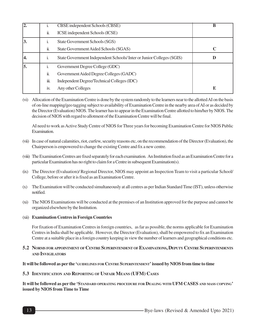| $\overline{2}$ . |                             | CBSE independent Schools (CBSE)                                      | B           |
|------------------|-----------------------------|----------------------------------------------------------------------|-------------|
|                  | ii.                         | ICSE independent Schools (ICSE)                                      |             |
| 3.               | 1.                          | State Government Schools (SGS)                                       |             |
|                  | $\ddot{\phantom{a}}$<br>11. | State Government Aided Schools (SGAS)                                | $\mathbf C$ |
| 14.              | 1.                          | State Government Independent Schools/Inter or Junior Colleges (SGIS) | D           |
| 5.               |                             | Government Degree College (GDC)                                      |             |
|                  | 11.                         | Government Aided Degree Colleges (GADC)                              |             |
|                  | iii.                        | Independent Degree/Technical Colleges (IDC)                          |             |
|                  | 1V.                         | Any other Colleges                                                   | E           |

(vi) Allocation of the Examination Centre is done by the system randomly to the learners near to the allotted AI on the basis of on-line mapping/geo tagging subject to availability of Examination Centre in the nearby area of AI or as decided by the Director (Evaluation) NIOS. The learner has to appear in the Examination Centre allotted to him/her by NIOS. The decision of NIOS with regard to allotment of the Examination Centre will be final.

AI need to work as Active Study Centre of NIOS for Three years for becoming Examination Centre for NIOS Public Examination.

- (vii) In case of natural calamities, riot, curfew, security reasons etc, on the recommendation of the Director (Evaluation), the Chairperson is empowered to change the existing Centre and fix a new centre.
- (viii) The Examination Centres are fixed separately for each examination. An Institution fixed as an Examination Centre for a particular Examination has no right to claim for a Centre in subsequent Examination(s).
- (ix) The Director (Evaluation)/ Regional Director, NIOS may appoint an Inspection Team to visit a particular School/ College, before or after it is fixed as an Examination Centre.
- (x) The Examination will be conducted simultaneously at all centres as per Indian Standard Time (IST), unless otherwise notified.
- (xi) The NIOS Examinations will be conducted at the premises of an Institution approved for the purpose and cannot be organized elsewhere by the Institution.
- (xii) **Examination Centres in Foreign Countries**

For fixation of Examination Centres in foreign countries, as far as possible, the norms applicable for Examination Centres in India shall be applicable. However, the Director (Evaluation), shall be empowered to fix an Examination Centre at a suitable place in a foreign country keeping in view the number of learners and geographical conditions etc.

5.2 NORMS FOR APPOINTMENT OF CENTRE SUPERINTENDENT OF EXAMINATIONS, DEPUTY CENTRE SUPERINTENDENTS **AND INVIGILATORS**

**It will be followed as per the 'GUIDELINES FOR CENTRE SUPERINTENDENT' issued by NIOS from time to time**

#### **5.3 IDENTIFICATION AND REPORTING OF UNFAIR MEANS (UFM) CASES**

**It will be followed as per the 'STANDARD OPERATING PROCEDURE FOR DEALING WITH UFM CASES AND MASS COPYING' issued by NIOS from Time to Time**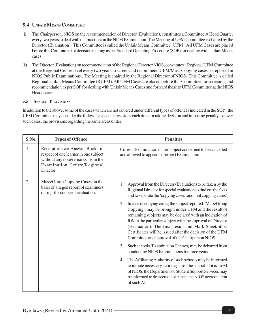#### **5.4 UNFAIR MEANS COMMITTEE**

- (i) The Chairperson, NIOS on the recommendation of Director (Evaluation), constitutes a Committee at Head Quarter every two years to deal with malpractices in the NIOS Examination. The Meeting of UFM Committee is chaired by the Director (Evaluation). This Committee is called the Unfair Means Committee (UFM). All UFM Cases are placed before this Committee for decision making as per Standard Operating Procedure (SOP) for dealing with Unfair Means cases.
- (ii) The Director (Evaluation) on recommendation of the Regional Director NIOS, constitutes a Regional UFM Committee at the Regional Centre level every two years to screen and recommend UFM/Mass Copying cases so reported in NIOS Public Examinations.. The Meeting is chaired by the Regional Director of NIOS. This Committee is called Regional Unfair Means Committee (RUFM). All UFM Cases are placed before this Committee for screening and recommendation as per SOP for dealing with Unfair Means Cases and forward these to UFM Committee at the NIOS Headquarter.

#### **5.5 SPECIAL PROVISIONS**

In addition to the above, some of the cases which are not covered under different types of offences indicated in the SOP, the UFM Committee may consider the following special provisions each time for taking decision and imposing penalty to cover such cases, the provisions regarding the same areas under:

| S.No. | <b>Types of Offence</b>                                                                                                                                 | <b>Penalties</b>                                                                                                                                                                                                                                                                                                                                                                                                                                                                                                                                                                                                                                                                                                                                                                                                                                                                                                                                                                                                          |  |
|-------|---------------------------------------------------------------------------------------------------------------------------------------------------------|---------------------------------------------------------------------------------------------------------------------------------------------------------------------------------------------------------------------------------------------------------------------------------------------------------------------------------------------------------------------------------------------------------------------------------------------------------------------------------------------------------------------------------------------------------------------------------------------------------------------------------------------------------------------------------------------------------------------------------------------------------------------------------------------------------------------------------------------------------------------------------------------------------------------------------------------------------------------------------------------------------------------------|--|
| 1.    | Receipt of two Answer Books in<br>respect of one learner in one subject<br>without any note/remarks from the<br>Examination Centre/Regional<br>Director | Current Examination in the subject concerned to be cancelled<br>and allowed to appear in the next Examination                                                                                                                                                                                                                                                                                                                                                                                                                                                                                                                                                                                                                                                                                                                                                                                                                                                                                                             |  |
| 2.    | Mass/Group Copying Cases on the<br>basis of alleged report of examiners<br>during the course of evaluation.                                             | Approval from the Director (Evaluation) to be taken by the<br>Regional Director for special evaluation to find out the facts<br>and to separate the 'copying cases' and 'not copying cases'<br>In case of copying cases, the subject reported "Mass/Group"<br>2.<br>Copying" may be brought under UFM and the result of<br>remaining subjects may be declared with an indication of<br>RW in the particular subject with the approval of Director<br>(Evaluation). The final result and Mark-Sheet/other<br>Certificates will be issued after the decision of the UFM<br>Committee and approval of the Chairperson NIOS<br>Such schools (Examination Centres) may be debarred from<br>3.<br>conducting NIOS Examinations for three years.<br>The Affiliating Authority of such schools may be informed<br>4.<br>to initiate necessary action against the school. If it is an AI<br>of NIOS, the Department of Student Support Services may<br>be informed to de-accredit or cancel the NIOS accreditation<br>of such AIs. |  |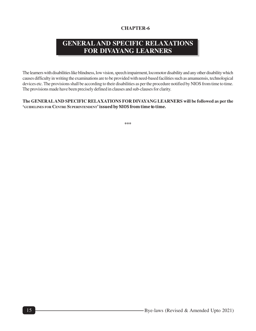# **GENERAL AND SPECIFIC RELAXATIONS FOR DIVAYANG LEARNERS**

The learners with disabilities like blindness, low vision, speech impairment, locomotor disability and any other disability which causes difficulty in writing the examinations are to be provided with need-based facilities such as amanuensis, technological devices etc. The provisions shall be according to their disabilities as per the procedure notified by NIOS from time to time. The provisions made have been precisely defined in clauses and sub-clauses for clarity.

#### **The GENERALAND SPECIFIC RELAXATIONS FOR DIVAYANG LEARNERS will be followed as per the 'GUIDELINES FOR CENTRE SUPERINTENDENT' issued by NIOS from time to time.**

**\*\*\***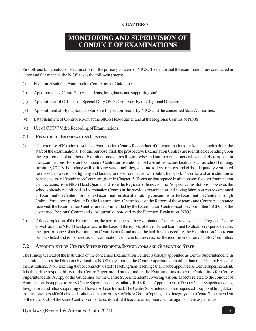## **MONITORING AND SUPERVISION OF CONDUCT OF EXAMINATIONS**

Smooth and fair conduct of Examinations is the primary concern of NIOS. To ensure that the examinations are conducted in a free and fair manner, the NIOS takes the following steps:

- (i) Fixation of suitable Examination Centres as per Guidelines.
- (ii) Appointment of Centre Superintendents, Invigilators and supporting staff.
- (iii) Appointment of Officers on Special Duty OSDs/Observers by the Regional Directors.
- (iv) Appointment of Flying Squads /Surprise Inspection Teams by NIOS and the concerned State Authorities.
- (v) Establishment of Control Room at the NIOS Headquarter and at the Regional Centres of NIOS.
- (vi) Use of CCTV/ Video Recording of Examinations.

#### **7.1 FIXATION OF EXAMINATIONS CENTRES**

- (i) The exercise of Fixation of suitable Examination Centres for conduct of the examinations is taken up much before the start of the examinations. For this purpose, first, the prospective Examination Centres are identified depending upon the requirement of number of Examinations centres Region-wise and number of learners who are likely to appear in the Examinations. To be an Examination Centre, an institution must have infrastructure facilities such as school building, furniture, CCTV, boundary wall, drinking water facilities, separate toilets for boys and girls, adequately ventilated rooms with provision for lighting and fans etc. and well connected with public transport. The criteria of an institution to be selected as an Examination Centre are given in Chapter- 5. To ensure that reputed Institutions are fixed as Examination Centre, teams from NIOS Head Quarter and from the Regional offices visit the Prospective Institutions. However, the schools already established as Examination Centres in the previous examination and having fair report can be continued as Examination Centers for the next examination also after taking consent from the Examination Centres through Online Portal for a particular Public Examination. On the basis of the Report of these teams and Centre Acceptance received, the Examination Centres are recommended by the Examination Centre Fixation Committee (ECFC) of the concerned Regional Centre and subsequently approved by the Director (Evaluation) NIOS.
- (ii) After completion of the Examination, the performance of the Examination Centres is reviewed at the Regional Centre as well as at the NIOS Headquarters on the basis of the reports of the different teams and Evaluation experts. In case, the performance of an Examination Centre is not found as per the laid down procedure, the Examination Centre can be blacklisted and is not fixed as an Examination Centre in future/ or as per the recommendation of UFM Committee.

#### **7.2 APPOINTMENT OF CENTRE SUPERINTENDENTS, INVIGILATORS AND SUPPORTING STAFF**

The Principal/Head of the Institution of the concerned Examination Centres is usually appointed as Centre Superintendent. In exceptional cases the Director (Evaluation) NIOS may appoint the Centre Superintendent other than the Principal/Head of the Institutions. Non- teaching staff or contractual staff (Teaching/non-teaching) shall not be appointed as Centre superintendent. It is the prime responsibility of the Centre Superintendent to conduct the Examinations as per the Guidelines for Centre Superintendents. A copy of the Guidelines for the Centre Superintendents covering various aspects related to the conduct of Examinations is supplied to every Centre Superintendent. Similarly, Rules for the Appointment of Deputy Centre Superintendents, Invigilator's and other supporting staff have also been framed. The Centre Superintendents are requested to appoint Invigilators from among the staff of their own institution. In proven cases of Mass/ Group Copying, if the integrity of the Centre Superintendent or the other staff of the same Centre is considered doubtful it leads to disciplinary action against them as per rules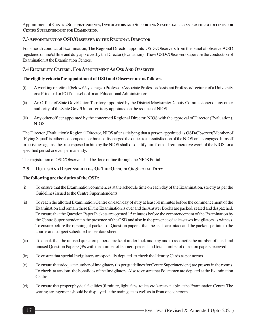#### Appointment of CENTRE SUPERINTENDENTS, INVIGILATORS AND SUPPORTING STAFF SHALL BE AS PER THE GUIDELINES FOR **CENTRE SUPERINTENDENT FOR EXAMINATION.**

#### **7.3 APPOINTMENT OF OSD/OBSERVER BY THE REGIONAL DIRECTOR**

For smooth conduct of Examination, The Regional Director appoints OSDs/Observers from the panel of observer/OSD registered online/offline and duly approved by the Director (Evaluation). These OSDs/Observers supervise the conduction of Examination at the Examination Centres.

#### **7.4 ELIGIBILITY CRITERIA FOR APPOINTMENT AS OSD AND OBSERVER**

#### **The eligibly criteria for appointment of OSD and Observer are as follows.**

- (i) A working or retired (below 65 years age) Professor/Associate Professor/Assistant Professor/Lecturer of a University or a Principal or PGT of a school or an Educational Administrator.
- (ii) An Officer of State Govt/Union Territory appointed by the District Magistrate/Deputy Commissioner or any other authority of the State Govt/Union Territory appointed on the request of NIOS
- (iii) Any other officer appointed by the concerned Regional Director, NIOS with the approval of Director (Evaluation), NIOS.

The Director (Evaluation)/ Regional Director, NIOS after satisfying that a person appointed as OSD/Observer/Member of 'Flying Squad' is either not competent or has not discharged the duties to the satisfaction of the NIOS or has engaged himself in activities against the trust reposed in him by the NIOS shall disqualify him from all remunerative work of the NIOS for a specified period or even permanently.

The registration of OSD/Observer shall be done online through the NIOS Portal.

#### **7.5 DUTIES AND RESPONSIBILITIES OF THE OFFICER ON SPECIAL DUTY**

#### **The following are the duties of the OSD:**

- (i) To ensure that the Examination commences at the schedule time on each day of the Examination, strictly as per the Guidelines issued to the Centre Superintendents.
- (ii) To reach the allotted Examination Centre on each day of duty at least 30 minutes before the commencement of the Examination and remain there till the Examination is over and the Answer Books are packed, sealed and despatched. To ensure that the Question Paper Packets are opened 15 minutes before the commencement of the Examination by the Centre Superintendent in the presence of the OSD and also in the presence of at least two Invigilators as witness. To ensure before the opening of packets of Question papers that the seals are intact and the packets pertain to the course and subject scheduled as per date sheet.
- (iii) To check that the unused question papers are kept under lock and key and to reconcile the number of used and unused Question Papers QPs with the number of learners present and total number of question papers received.
- (iv) To ensure that special Invigilators are specially deputed to check the Identity Cards as per norms.
- (v) To ensure that adequate number of invigilators (as per guidelines for Centre Superintendent) are present in the rooms. To check, at random, the bonafides of the Invigilators. Also to ensure that Policemen are deputed at the Examination Centre.
- (vi) To ensure that proper physical facilities (furniture, light, fans, toilets etc.) are available at the Examination Centre. The seating arrangement should be displayed at the main gate as well as in front of each room.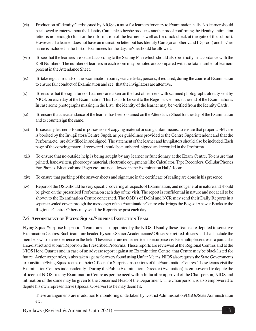- (vii) Production of Identity Cards issued by NIOS is a must for learners for entry to Examination halls. No learner should be allowed to enter without the Identity Card unless he/she produces another proof confirming the identity. Intimation letter is not enough (It is for the information of the learner as well as for quick check at the gate of the school). However, if a learner does not have an intimation letter but has Identity Card (or another valid ID proof) and his/her name is included in the List of Examinees for the day, he/she should be allowed.
- (viii) To see that the learners are seated according to the Seating Plan which should also be strictly in accordance with the Roll Numbers. The number of learners in each room may be noted and compared with the total number of learners present in the Attendance Sheet.
- (ix) To take regular rounds of the Examination rooms, search desks, persons, if required, during the course of Examination to ensure fair conduct of Examination and see that the invigilators are attentive.
- (x) To ensure that the signature of Learners are taken on the List of learners with scanned photographs already sent by NIOS, on each day of the Examination. This List is to be sent to the Regional Centres at the end of the Examinations. In case some photographs missing in the List, the identity of the learner may be verified from the Identity Cards.
- (xi) To ensure that the attendance of the learner has been obtained on the Attendance Sheet for the day of the Examination and to countersign the same.
- (xii) In case any learner is found in possession of copying material or using unfair means, to ensure that proper UFM case is booked by the Invigilators/Centre Supdt. as per guidelines provided to the Centre Superintendent and that the Performa etc,. are duly filled in and signed. The statement of the learner and Invigilators should also be included. Each page of the copying material recovered should be numbered, signed and recorded in the Proforma.
- (xiii) To ensure that no outside help is being sought by any learner or functionary at the Exam Centre. To ensure that printed, handwritten, photocopy material, electronic equipments like Calculator, Tape Recorders, Cellular Phones Ear Phones, Bluetooth and Pager etc., are not allowed in the Examination Hall/ Room.
- (xiv) To ensure that packing of the answer sheets and signature in the certificate of sealing are done in his presence.
- (xv) Report of the OSD should be very specific, covering all aspects of Examination, and not general in nature and should be given on the prescribed Proforma on each day of the visit. The report is confidential in nature and not at all to be shown to the Examination Centre concerned. The OSD's of Delhi and NCR may send their Daily Reports in a separate sealed cover through the messenger of the Examination Centre who brings the Bags of Answer Books to the Regional Centre. Others may send the Reports by post each day

#### **7.6 APPOINTMENT OF FLYING SQUAD/SURPRISE INSPECTION TEAM**

Flying Squad/Surprise Inspection Teams are also appointed by the NIOS. Usually these Teams are deputed to sensitive Examination Centres. Such teams are headed by some Senior Academicians/ Officers or retired officers and shall include the members who have experience in the field. These teams are requested to make surprise visits to multiple centres in a particular area/district and submit Report on the Prescribed Proforma. These reports are reviewed at the Regional Centres and at the NIOS Head Quarter and in case of an adverse report against an Examination Centre, that Centre may be black listed for future. Action as per rules, is also taken against learn ers found using Unfair Means. NIOS also requests the State Governments to constitute Flying Squad teams of their Officers for Surprise Inspections of the Examination Centres. These teams visit the Examination Centres independently. During the Public Examination. Director (Evaluation), is empowered to depute the officers of NIOS to any Examination Centre as per the need within India after approval of the Chairperson, NIOS and intimation of the same may be given to the concerned Head of the Department. The Chairperson, is also empowered to depute his own representative (Special Observer) as he may deem fit.

These arrangements are in addition to monitoring undertaken by District Administration/DEOs/State Administration etc.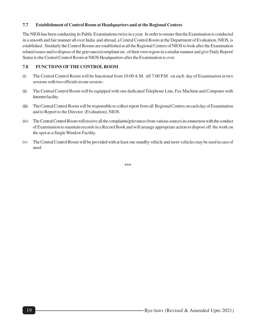#### **7.7 Establishment of Control Room at Headquarters and at the Regional Centres**

The NIOS has been conducting its Public Examinations twice in a year. In order to ensure that the Examination is conducted in a smooth and fair manner all over India and abroad, a Central Control Room at the Department of Evaluation, NIOS, is established. Similarly the Control Rooms are established at all the Regional Centres of NIOS to look after the Examination related issues and to dispose of the grievances/complaint etc. of their own region in a similar manner and give Daily Report/ Status to the Central Control Room at NIOS Headquarters after the Examination is over.

#### **7.8 FUNCTIONS OF THE CONTROL ROOM**

- (i) The Central Control Room will be functional from 10:00 A.M. till 7:00 P.M. on each day of Examination in two sessions with two officials in one session :
- (ii) The Central Control Room will be equipped with one dedicated Telephone Line, Fax Machine and Computer with Internet facility.
- (iii) The Central Control Room will be responsible to collect report from all Regional Centres on each day of Examination and to Report to the Director (Evaluation), NIOS.
- (iv) The Central Control Room will receive all the complaints/grievances from various sources in connection with the conduct of Examination to maintain records in a Record Book and will arrange appropriate action to dispose off the work on the spot as a Single Window Facility.
- (v) The Central Control Room will be provided with at least one standby vehicle and more vehicles may be used in case of need.

**\*\*\***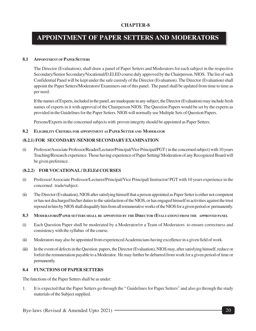### **APPOINTMENT OF PAPER SETTERS AND MODERATORS**

#### **8.1 APPOINTMENT OF PAPER SETTERS**

The Director (Evaluation), shall draw a panel of Paper Setters and Moderators for each subject in the respective Secondary/Senior Secondary/Vocational/D.El.ED course duly approved by the Chairperson, NIOS. The list of such Confidential Panel will be kept under the safe custody of the Director (Evaluation). The Director (Evaluation) shall appoint the Paper Setters/Moderators/ Examiners out of this panel. The panel shall be updated from time to time as per need.

If the names of Experts, included in the panel, are inadequate in any subject, the Director (Evaluation) may include fresh names of experts in it with approval of the Chairperson NIOS. The Question Papers would be set by the experts as provided in the Guidelines for the Paper Setters. NIOS will normally use Multiple Sets of Question Papers.

Persons/Experts in the concerned subjects with proven integrity should be appointed as Paper Setters.

**8.2 ELIGIBILITY CRITERIA FOR APPOINTMENT AS PAPER SETTER AND MODERATOR**

#### **(8.2.1) FOR SECONDARY /SENIOR SECONDARY EXAMINATION**

(i) Professor/Associate Professor/Reader/Lecturer/Principal/Vice Principal/PGT ( in the concerned subject) with 10 years Teaching/Research experience. Those having experience of Paper Setting/ Moderation of any Recognized Board will be given preference.

#### **(8.2.2) FOR VOCATIONAL / D.El.Ed COURSES**

- (i) Professor/ Associate Professor/Lecturer/Principal/Vice Principal/ Instructor/ PGT with 10 years experience in the concerned trade/subject.
- (ii) The Director (Evaluation), NIOS after satisfying himself that a person appointed as Paper Setter is either not competent or has not discharged his/her duties to the satisfaction of the NIOS, or has engaged himself in activities against the trust reposed in him by NIOS shall disqualify him from all remunerative works of the NIOS for a given period or permanently.
- 8.3 MODERATORS/PAPER SETTERS SHALL BE APPOINTED BY THE DIRECTOR (EVALUATION) FROM THE APPROVED PANEL
- (i) Each Question Paper shall be moderated by a Moderator/or a Team of Moderators to ensure correctness and consistency with the syllabus of the course.
- (ii) Moderators may also be appointed from experienced Academicians having excellence in a given field of work.
- (iii) In the event of defects in the Question papers, the Director (Evaluation), NIOS may, after satisfying himself, reduce or forfeit the remuneration payable to a Moderator. He may further be debarred from work for a given period of time or permanently.

#### **8.4 FUNCTIONS OF PAPER SETTERS**

The functions of the Paper Setters shall be as under:

1. It is expected that the Paper Setters go through the " Guidelines for Paper Setters" and also go through the study materials of the Subject supplied.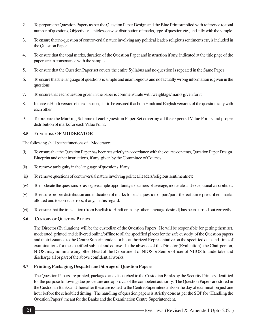- 2. To prepare the Question Papers as per the Question Paper Design and the Blue Print supplied with reference to total number of questions, Objectivity, Unit/lesson wise distribution of marks, type of question etc., and tally with the sample.
- 3. To ensure that no question of controversial nature involving any political leader/ religious sentiments etc, is included in the Question Paper.
- 4. To ensure that the total marks, duration of the Question Paper and instruction if any, indicated at the title page of the paper, are in consonance with the sample.
- 5. To ensure that the Question Paper set covers the entire Syllabus and no question is repeated in the Same Paper
- 6. To ensure that the language of questions is simple and unambiguous and no factually wrong information is given in the questions
- 7. To ensure that each question given in the paper is commensurate with weightage/marks given for it.
- 8. If there is Hindi version of the question, it is to be ensured that both Hindi and English versions of the question tally with each other.
- 9. To prepare the Marking Scheme of each Question Paper Set covering all the expected Value Points and proper distribution of marks for each Value Point.

#### **8.5 FUNCTIONS OF MODERATOR**

The following shall be the functions of a Moderator:

- (i) To ensure that the Question Paper has been set strictly in accordance with the course contents, Question Paper Design, Blueprint and other instructions, if any, given by the Committee of Courses.
- (ii) To remove ambiguity in the language of questions, if any.
- (iii) To remove questions of controversial nature involving political leaders/religious sentiments etc.
- (iv) To moderate the questions so as to give ample opportunity to learners of average, moderate and exceptional capabilities.
- (v) To ensure proper distribution and indication of marks for each question or part/parts thereof, time prescribed, marks allotted and to correct errors, if any, in this regard.
- (vi) To ensure that the translation (from English to Hindi or in any other language desired) has been carried out correctly.

#### **8.6 CUSTODY OF QUESTION PAPERS**

The Director (Evaluation) will be the custodian of the Question Papers. He will be responsible for getting them set, moderated, printed and delivered online/offline to all the specified places for the safe custody of the Question papers and their issuance to the Centre Superintendent or his authorized Representative on the specified date and time of examinations for the specified subject and course. In the absence of the Director (Evaluation), the Chairperson, NIOS, may nominate any other Head of the Department of NIOS or Senior officer of NIIOS to undertake and discharge all or part of the above confidential works.

#### **8.7 Printing, Packaging, Despatch and Storage of Question Papers**

The Question Papers are printed, packaged and dispatched to the Custodian Banks by the Security Printers identified for the purpose following due procedure and approval of the competent authority. The Question Papers are stored in the Custodian Banks and thereafter these are issued to the Centre Superintendents on the day of examination just one hour before the scheduled timing. The handling of question papers is strictly done as per the SOP for 'Handling the Question Papers' meant for the Banks and the Examination Centre Superintendent.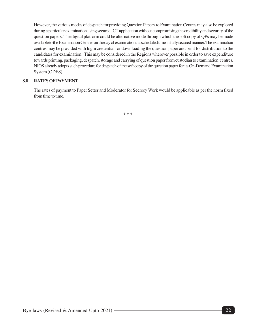However, the various modes of despatch for providing Question Papers to Examination Centres may also be explored during a particular examination using secured ICT application without compromising the credibility and security of the question papers. The digital platform could be alternative mode through which the soft copy of QPs may be made available to the Examination Centres on the day of examinations at scheduled time in fully secured manner. The examination centres may be provided with login credential for downloading the question paper and print for distribution to the candidates for examination. This may be considered in the Regions wherever possible in order to save expenditure towards printing, packaging, despatch, storage and carrying of question paper from custodian to examination centres. NIOS already adopts such procedure for despatch of the soft copy of the question paper for its On-Demand Examination System (ODES).

#### **8.8 RATES OF PAYMENT**

The rates of payment to Paper Setter and Moderator for Secrecy Work would be applicable as per the norm fixed from time to time.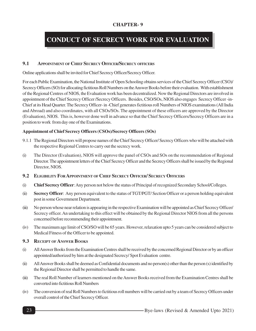# **CONDUCT OF SECRECY WORK FOR EVALUATION**

#### **9.1 APPOINTMENT OF CHIEF SECRECY OFFICER/SECRECY OFFICERS**

Online applications shall be invited for Chief Secrecy Officer/Secrecy Officer.

For each Public Examination, the National Institute of Open Schooling obtains services of the Chief Secrecy Officer (CSO)/ Secrecy Officers (SO) for allocating fictitious Roll Numbers on the Answer Books before their evaluation. With establishment of the Regional Centres of NIOS, the Evaluation work has been decentralized. Now the Regional Directors are involved in appointment of the Chief Secrecy Officer /Secrecy Officers. Besides, CSO/SOs, NIOS also engages Secrecy Officer -in-Chief at its Head Quarter. The Secrecy Officer- in -Chief generates fictitious roll Numbers of NIOS examinations (All India and Abroad) and also coordinates, with all CSOs/SOs. The appointment of these officers are approved by the Director (Evaluation), NIOS. This is, however done well in advance so that the Chief Secrecy Officers/Secrecy Officers are in a position to work from day one of the Examinations.

#### **Appointment of Chief Secrecy Officers (CSOs)/Secrecy Officers (SOs)**

- 9.1.1 The Regional Directors will propose names of the Chief Secrecy Officer/ Secrecy Officers who will be attached with the respective Regional Centres to carry out the secrecy work.
- (i) The Director (Evaluation), NIOS will approve the panel of CSOs and SOs on the recommendation of Regional Director. The appointment letters of the Chief Secrecy Officer and the Secrecy Officers shall be issued by the Regional Director, NIOS.
- **9.2 ELIGIBILITY FOR APPOINTMENT OF CHIEF SECRECY OFFICER/ SECRECY OFFICERS**
- (i) **Chief Secrecy Officer**: Any person not below the status of Principal of recognized Secondary School/Colleges.
- (ii) **Secrecy Officer**: Any person equivalent to the status of TGT/PGT/ Section Officer or a person holding equivalent post in some Government Department.
- (iii) No person whose near relation is appearing in the respective Examination will be appointed as Chief Secrecy Officer/ Secrecy officer. An undertaking to this effect will be obtained by the Regional Director NIOS from all the persons concerned before recommending their appointment.
- (iv) The maximum age limit of CSO/SO will be 65 years. However, relaxation upto 5 years can be considered subject to Medical Fitness of the Officer to be appointed.

#### **9.3 RECEIPT OF ANSWER BOOKS**

- (i) All Answer Books from the Examination Centres shall be received by the concerned Regional Director or by an officer appointed/authorized by him at the designated Secrecy/ Spot Evaluation centre.
- (ii) All Answer Books shall be deemed as Confidential documents and no person(s) other than the person (s) identified by the Regional Director shall be permitted to handle the same.
- (iii) The real Roll Number of learners mentioned on the Answer Books received from the Examination Centres shall be converted into fictitious Roll Numbers
- (iv) The conversion of real Roll Numbers to fictitious roll numbers will be carried out by a team of Secrecy Officers under overall control of the Chief Secrecy Officer.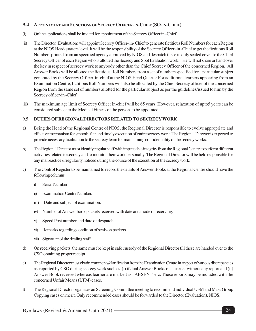#### **9.4 APPOINTMENT AND FUNCTIONS OF SECRECY OFFICER-IN-CHIEF (SO-IN-CHIEF)**

- (i) Online applications shall be invited for appointment of the Secrecy Officer in -Chief.
- (ii) The Director (Evaluation) will appoint Secrecy Officer- in- Chief to generate fictitious Roll Numbers for each Region at the NIOS Headquarters level. It will be the responsibility of the Secrecy Officer -in -Chief to get the fictitious Roll Numbers printed from an specified agency approved by NIOS and despatch these in duly sealed cover to the Chief Secrecy Officer of each Region who is allotted the Secrecy and Spot Evaluation work. He will not share or hand over the key in respect of secrecy work to anybody other than the Chief Secrecy Officer of the concerned Region. All Answer Books will be allotted the fictitious Roll Numbers from a set of numbers specified for a particular subject generated by the Secrecy Officer-in-chief at the NIOS Head Quarter For additional learners appearing from an Examination Centre, fictitious Roll Numbers will also be allocated by the Chief Secrecy officer of the concerned Region from the same set of numbers allotted for the particular subject as per the guidelines/issued to him by the Secrecy officer-in -Chief.
- (iii) The maximum age limit of Secrecy Officer in-chief will be 65 years. However, relaxation of upto5 years can be considered subject to the Medical Fitness of the person to be appointed.

#### **9.5 DUTIES OF REGIONAL DIRECTORS RELATED TO SECRECYWORK**

- a) Being the Head of the Regional Centre of NIOS, the Regional Director is responsible to evolve appropriate and effective mechanism for smooth, fair and timely execution of entire secrecy work. The Regional Director is expected to provide necessary facilitation to the secrecy team for maintaining confidentiality of the secrecy works.
- b) The Regional Director must identify regular staff with impeccable integrity from the Regional Centre to perform different activities related to secrecy and to monitor their work personally. The Regional Director will be held responsible for any malpractice /irregularity noticed during the course of the execution of the secrecy work.
- c) The Control Register to be maintained to record the details of Answer Books at the Regional Centre should have the following columns.
	- i) Serial Number
	- ii) Examination Centre Number.
	- iii) Date and subject of examination.
	- iv) Number of Answer book packets received with date and mode of receiving.
	- v) Speed Post number and date of despatch.
	- vi) Remarks regarding condition of seals on packets.
	- vii) Signature of the dealing staff.
- d) On receiving packets, the same must be kept in safe custody of the Regional Director till these are handed over to the CSO obtaining proper receipt.
- e) The Regional Director must obtain comments/clarification from the Examination Centre in respect of various discrepancies as reported by CSO during secrecy work such as (i) if dual Answer Books of a learner without any report and (ii) Answer Book received whereas learner are marked as "ABSENT: etc. These reports may be included with the concerned Unfair Means (UFM) cases.
- f) The Regional Director organizes an Screening Committee meeting to recommend individual UFM and Mass Group Copying cases on merit. Only recommended cases should be forwarded to the Director (Evaluation), NIOS.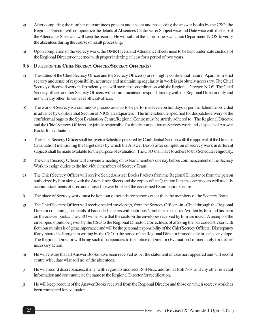- g) After comparing the number of examinees present and absent and processing the answer books by the CSO, the Regional Director will computerize the details of Absentees Centre wise/ Subject wise and Date wise with the help of the Attendance Sheet and will keep the records. He will submit the same to the Evaluation Department, NIOS to verify the absentees during the course of result processing.
- h) Upon completion of the secrecy work, the OMR Flyers and Attendance sheets need to be kept under safe custody of the Regional Director concerned with proper indexing at least for a period of two years.

#### **9.6 DUTIES OF THE CHIEF SECRECY OFFICER/SECRECY OFFICER(S)**

- a) The duties of the Chief Secrecy Officer and the Secrecy Officer(s) are of highly confidential nature. Apart from strict secrecy and sense of responsibility, accuracy and maintaining regularity in work is absolutely necessary. The Chief Secrecy officer will work independently and will have close coordination with the Regional Director, NIOS. The Chief Secrecy officer or other Secrecy Officers will communicate/correspond directly with the Regional Director only and not with any other lower level official/ officer.
- b) The work of Secrecy is a continuous process and has to be performed even on holidays as per the Schedule provided in advance by Confidential Section of NIOS Headquarters . The time schedule specified for despatch/delivery of the confidential bags to the Spot Evaluation Centre/Regional Centre must be strictly adhered to. The Regional Director and the Chief Secrecy Officers are jointly responsible for timely completion of Secrecy work and despatch of Answer Books for evaluation.
- c) The Chief Secrecy Officer shall be given a Schedule prepared by Confidential Section with the approval of the Director (Evaluation) mentioning the target dates by which the Answer Books after completion of secrecy work in different subjects shall be made available for the purpose of evaluation. The CSO shall have to adhere to this Schedule religiously.
- d) The Chief Secrecy Officer will convene a meeting of his team members one day before commencement of the Secrecy Work to assign duties to the individual members of Secrecy Team.
- e) The Chief Secrecy Officer will receive Sealed Answer Books Packets from the Regional Director or from the person authorized by him along with the Attendance Sheets and the copies of the Question Papers concerned as well as daily account statements of used and unused answer books of the concerned Examination Centre.
- f) The place of Secrecy work must be kept out of bounds for persons other than the members of the Secrecy Team.
- g) The Chief Secrecy Officer will receive sealed envelope(s) from the Secrecy Officer –in Chief through the Regional Director containing the details of bar coded stickers with fictitious Numbers to be pasted/written by him and his team on the answer books. The CSO will ensure that the seals on the envelopes received by him are intact. A receipt of the envelopes should be given by the CSO to the Regional Director. Correctness of affixing the bar coded sticker with fictitious number is of great importance and will be the personal responsibility of the Chief Secrecy Officers. Discrepancy if any, should be brought in writing by the CSO to the notice of the Regional Director immediately in sealed envelope. The Regional Director will bring such discrepancies to the notice of Director (Evaluation ) immediately for further necessary action.
- h) He will ensure that all Answer Books have been received as per the statement of Learners appeared and will record centre wise, date wise roll no. of the absentees.
- i) He will record discrepancies, if any, with regard to incorrect Roll Nos., additional Roll Nos. and any other relevant information and communicate the same to the Regional Director for rectification.
- j) He will keep account of the Answer Books received from the Regional Director and those on which secrecy work has been completed for evaluation.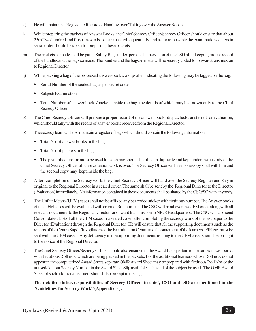- k) He will maintain a Register to Record of Handing over/ Taking over the Answer Books.
- l) While preparing the packets of Answer Books, the Chief Secrecy Officer/Secrecy Officer should ensure that about 250 (Two hundred and fifty) answer books are packed sequentially and as far as possible the examination centers in serial order should be taken for preparing these packets.
- m) The packets so made shall be put in Safety Bags under personal supervision of the CSO after keeping proper record of the bundles and the bags so made. The bundles and the bags so made will be secretly coded for onward transmission to Regional Director.
- n) While packing a bag of the processed answer-books, a slip/label indicating the following may be tagged on the bag:
	- Serial Number of the sealed bag as per secret code
	- Subject/Examination
	- Total Number of answer books/packets inside the bag, the details of which may be known only to the Chief Secrecy Officer.
- o) The Chief Secrecy Officer will prepare a proper record of the answer-books dispatched/transferred for evaluation, which should tally with the record of answer books received from the Regional Director.
- p) The secrecy team will also maintain a register of bags which should contain the following information:
	- Total No. of answer books in the bag.
	- Total No. of packets in the bag.
	- The prescribed proforma to be used for each bag should be filled in duplicate and kept under the custody of the Chief Secrecy Officer till the evaluation work is over. The Secrecy Officer will keep one copy shall with him and the second copy may kept inside the bag.
- q) After completion of the Secrecy work, the Chief Secrecy Officer will hand over the Secrecy Register and Key in original to the Regional Director in a sealed cover. The same shall be sent by the Regional Director to the Director (Evaluation) immediately. No information contained in these documents shall be shared by the CSO/SO with anybody.
- r) The Unfair Means (UFM) cases shall not be affixed any bar coded sticker with fictitious number. The Answer books of the UFM cases will be evaluated with original Roll number. The CSO will hand over the UFM cases along with all relevant documents to the Regional Director for onward transmission to NIOS Headquarters. The CSO will also send Consolidated List of all the UFM cases in a sealed cover after completing the secrecy work of the last paper to the Director (Evaluation) through the Regional Director. He will ensure that all the supporting documents such as the reports of the Centre Supdt./Invigilators of the Examination Centre and the statement of the learners. FIR etc. must be sent with the UFM cases. Any deficiency in the supporting documents relating to the UFM cases should be brought to the notice of the Regional Director.
- s) The Chief Secrecy Officer/Secrecy Officer should also ensure that the Award Lists pertain to the same answer books with Fictitious Roll nos. which are being packed in the packets. For the additional learners whose Roll nos. do not appear in the computerized Award Sheet, separate OMR Award Sheet may be prepared with fictitious Roll Nos or the unused/ left out Secrecy Number in the Award Sheet Slip available at the end of the subject be used. The OMR Award Sheet of such additional learners should also be kept in the bag.

#### **The detailed duties/responsibilities of Secrecy Officer- in-chief, CSO and SO are mentioned in the "Guidelines for Secrecy Work" (Appendix-E).**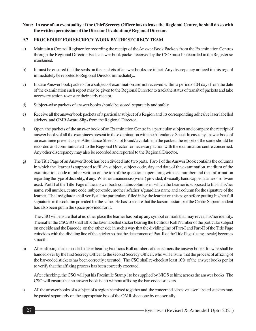#### **Note: In case of an eventuality, if the Chief Secrecy Officer has to leave the Regional Centre, he shall do so with the written permission of the Director (Evaluation)/ Regional Director.**

#### **9.7 PROCEDURE FOR SECRECY WORK BY THE SECRECY TEAM**

- a) Maintain a Control Register for recording the receipt of the Answer Book Packets from the Examination Centres through the Regional Director. Each answer book packet received by the CSO must be recorded in the Register so maintained.
- b) It must be ensured that the seals on the packets of answer books are intact. Any discrepancy noticed in this regard immediately be reported to Regional Director immediately..
- c) In case Answer book packets for a subject of examination are not received within a period of 04 days from the date of the examination such report may be given to the Regional Director to track the status of transit of packets and take necessary action to ensure their early receipt.
- d) Subject-wise packets of answer books should be stored separately and safely.
- e) Receive all the answer book packets of a particular subject of a Region and its corresponding adhesive laser labelled stickers and OMR Award Slips from the Regional Director.
- f) Open the packets of the answer book of an Examination Centre in a particular subject and compare the receipt of answer books of all the examinees present in the examination with the Attendance Sheet. In case any answer book of an examinee present as per Attendance Sheet is not found/ available in the packet, the report of the same should be recorded and communicated to the Regional Director for necessary action with the examination centre concerned. Any other discrepancy may also be recorded and reported to the Regional Director.
- g) The Title Page of an Answer Book has been divided into two parts. Part- I of the Answer Book contains the columns in which the learner is supposed to fill-in subject, subject code, day and date of the examination, medium of the examination code number written on the top of the question paper along with set number and the information regarding the type of disability, if any. Whether amanuensis (writer) provided; if visually handicapped, name of software used. Part II of the Title Page of the answer book contains columns in which the Learner is supposed to fill-in his/her name, roll number, centre code, subject-code , mother's/father's/guardians name and a column for the signature of the learner. The Invigilator shall verify all the particulars filled in by the learner on this page before putting his/her full signatures in the column provided for the same. He has to ensure that the facsimile stamp of the Centre Superintendent has also been put in the space provided for it.

The CSO will ensure that at no other place the learner has put up any symbol or mark that may reveal his/her identity. Thereafter the CSO/SO shall affix the laser labelled sticker bearing the fictitious Roll Number of the particular subject on one side and the Barcode on the other side in such a way that the dividing line of Part-I and Part-II of the Title Page coincides with the dividing line of the sticker so that the detachment of Part-II of the Title Page (using a scale) becomes smooth.

h) After affixing the bar-coded sticker bearing Fictitious Roll numbers of the learners the answer books lot wise shall be handed over by the first Secrecy Officer to the second Secrecy Officer, who will ensure that the process of affixing of the bar-coded stickers has been correctly executed. The CSO shall re-check at least 10% of the answer books per lot to verify that the affixing process has been correctly executed.

After checking, the CSO will put his Facsimile Stamp ( to be supplied by NIOS to him) across the answer books. The CSO will ensure that no answer book is left without affixing the bar-coded stickers.

i) All the answer books of a subject of a region be mixed together and the concerned adhesive laser labeled stickers may be pasted separately on the appropriate box of the OMR sheet one by one serially.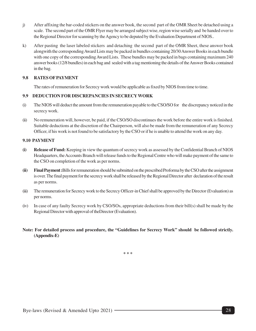- j) After affixing the bar-coded stickers on the answer book, the second part of the OMR Sheet be detached using a scale. The second part of the OMR Flyer may be arranged subject wise, region wise serially and be handed over to the Regional Director for scanning by the Agency to be deputed by the Evaluation Department of NIOS..
- k) After pasting the laser labeled stickers and detaching the second part of the OMR Sheet, these answer book alongwith the corresponding Award Lists may be packed in bundles containing 20/30 Answer Books in each bundle with one copy of the corresponding Award Lists. These bundles may be packed in bags containing maximum 240 answer books (12/8 bundles) in each bag and sealed with a tag mentioning the details of the Answer Books contained in the bag.

#### **9.8 RATES OF PAYMENT**

The rates of remuneration for Secrecy work would be applicable as fixed by NIOS from time to time.

#### **9.9 DEDUCTION FOR DISCREPANCIES IN SECRECYWORK**

- (i) The NIOS will deduct the amount from the remuneration payable to the CSO/SO for the discrepancy noticed in the secrecy work.
- (ii) No remuneration will, however, be paid, if the CSO/SO discontinues the work before the entire work is finished. Suitable deductions at the discretion of the Chairperson, will also be made from the remuneration of any Secrecy Officer, if his work is not found to be satisfactory by the CSO or if he is unable to attend the work on any day.

#### **9.10 PAYMENT**

- **(i) Release of Fund:** Keeping in view the quantum of secrecy work as assessed by the Confidential Branch of NIOS Headquarters, the Accounts Branch will release funds to the Regional Centre who will make payment of the same to the CSO on completion of the work as per norms.
- **(ii) Final Payment :**Bills for remuneration should be submitted on the prescribed Proforma by the CSO after the assignment is over. The final payment for the secrecy work shall be released by the Regional Director after declaration of the result as per norms.
- (iii) The remuneration for Secrecy work to the Secrecy Officer-in Chief shall be approved by the Director (Evaluation) as per norms.
- (iv) In case of any faulty Secrecy work by CSO/SOs, appropriate deductions from their bill(s) shall be made by the Regional Director with approval of theDirector (Evaluation).
- **Note: For detailed process and procedure, the "Guidelines for Secrecy Work" should be followed strictly. (Appendix-E)**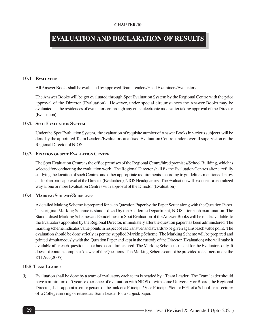# **EVALUATION AND DECLARATION OF RESULTS**

#### **10.1 EVALUATION**

All Answer Books shall be evaluated by approved Team Leaders/Head Examiners/Evaluators.

The Answer Books will be got evaluated through Spot Evaluation System by the Regional Centre with the prior approval of the Director (Evaluation). However, under special circumstances the Answer Books may be evaluated at the residences of evaluators or through any other electronic mode after taking approval of the Director (Evaluation).

#### **10.2 SPOT EVALUATION SYSTEM**

Under the Spot Evaluation System, the evaluation of requisite number of Answer Books in various subjects will be done by the appointed Team Leaders/Evaluators at a fixed Evaluation Centre, under overall supervision of the Regional Director of NIOS.

#### **10.3 FIXATION OF SPOT EVALUATION CENTRE**

The Spot Evaluation Centre is the office premises of the Regional Centre/hired premises/School Building, which is selected for conducting the evaluation work. The Regional Director shall fix the Evaluation Centres after carefully studying the location of such Centres and other appropriate requirements according to guidelines mentioned below and obtain prior approval of the Director (Evaluation), NIOS Headquarters. The Evaluation will be done in a centralized way at one or more Evaluation Centres with approval of the Director (Evaluation).

#### **10.4 MARKING SCHEME/GUIDELINES**

A detailed Making Scheme is prepared for each Question Paper by the Paper Setter along with the Question Paper. The original Marking Scheme is standardized by the Academic Department, NIOS after each examination. The Standardised Marking Schemes and Guidelines for Spot Evaluation of the Answer Books will be made available to the Evaluators appointed by the Regional Director, immediately after the question paper has been administered. The marking scheme indicates value points in respect of each answer and awards to be given against each value point. The evaluation should be done strictly as per the supplied Marking Scheme. The Marking Scheme will be prepared and printed simultaneously with the Question Paper and kept in the custody of the Director (Evaluation) who will make it available after each question paper has been administered. The Marking Scheme is meant for the Evaluators only. It does not contain complete Answer of the Questions. The Marking Scheme cannot be provided to learners under the RTI Act (2005).

#### **10.5 TEAM LEADER**

(i) Evaluation shall be done by a team of evaluators each team is headed by a Team Leader. The Team leader should have a minimum of 5 years experience of evaluation with NIOS or with some University or Board, the Regional Director, shall appoint a senior person of the rank of a Principal/ Vice Principal/Senior PGT of a School or a Lecturer of a College serving or retired as Team Leader for a subject/paper.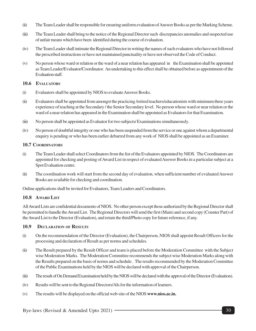- (ii) The Team Leader shall be responsible for ensuring uniform evaluation of Answer Books as per the Marking Scheme.
- (iii) The Team Leader shall bring to the notice of the Regional Director such discrepancies anomalies and suspected use of unfair means which have been identified during the course of evaluation.
- (iv) The Team Leader shall intimate the Regional Director in writing the names of such evaluators who have not followed the prescribed instructions or have not maintained punctuality or have not observed the Code of Conduct.
- (v) No person whose ward or relation or the ward of a near relation has appeared in the Examination shall be appointed as Team Leader/Evaluator/Coordinator. An undertaking to this effect shall be obtained before as appointment of the Evaluation staff.

#### **10.6 EVALUATORS**

- (i) Evaluators shall be appointed by NIOS to evaluate Answer Books.
- (ii) Evaluators shall be appointed from amongst the practicing /retired teachers/educationists with minimum three years experience of teaching at the Secondary / the Senior Secondary level. No person whose ward or near relation or the ward of a near relation has appeared in the Examination shall be appointed as Evaluators for that Examination.
- (iii) No person shall be appointed as Evaluator for two subjects/ Examinations simultaneously.
- (iv) No person of doubtful integrity or one who has been suspended from the service or one against whom a departmental enquiry is pending or who has been earlier debarred from any work of NIOS shall be appointed as an Examiner.

#### **10.7 COORDINATORS**

- (i) The Team Leader shall select Coordinators from the list of the Evaluators appointed by NIOS. The Coordinators are appointed for checking and posting of Award List in respect of evaluated Answer Books in a particular subject at a Spot Evaluation centre.
- (ii) The coordination work will start from the second day of evaluation, when sufficient number of evaluated Answer Books are available for checking and coordination.

Online applications shall be invited for Evaluators, Team Leaders and Coordinators.

#### **10.8 AWARD LIST**

All Award Lists are confidential documents of NIOS. No other person except those authorized by the Regional Director shall be permitted to handle the Award List. The Regional Directors will send the first (Main) and second copy (Counter Part) of the Award List to the Director (Evaluation), and retain the third/Photo copy for future reference, if any.

#### **10.9 DECLARATION OF RESULTS**

- (i) On the recommendation of the Director (Evaluation), the Chairperson, NIOS shall appoint Result Officers for the processing and declaration of Result as per norms and schedules.
- (ii) The Result prepared by the Result Officer and team is placed before the Moderation Committee with the Subject wise Moderation Marks. The Moderation Committee recommends the subject wise Moderation Marks along with the Results prepared on the basis of norms and schedule . The results recommended by the Moderation Committee of the Public Examinations held by the NIOS will be declared with approval of the Chairperson.
- (iii) The result of On Demand Examination held by the NIOS will be declared with the approval of the Director (Evaluation).
- (iv) Results will be sent to the Regional Directors/AIs for the information of learners.
- (v) The results will be displayed on the official web-site of the NIOS **www.nios.ac.in.**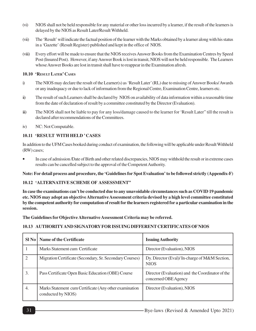- (vi) NIOS shall not be held responsible for any material or other loss incurred by a learner, if the result of the learners is delayed by the NIOS as Result Later/Result Withheld.
- (vii) The 'Result' will indicate the factual position of the learner with the Marks obtained by a learner along with his status in a 'Gazette' (Result Register) published and kept in the office of NIOS.
- (viii) Every effort will be made to ensure that the NIOS receives Answer Books from the Examination Centres by Speed Post (Insured Post). However, if any Answer Book is lost in transit, NIOS will not be held responsible. The Learners whose Answer Books are lost in transit shall have to reappear in the Examination afresh.

#### **10.10 'RESULT LATER' CASES**

- i) The NIOS may declare the result of the Learner(s) as 'Result Later' (RL) due to missing of Answer Books/ Awards or any inadequacy or due to lack of information from the Regional Centre, Examination Centre, learners etc.
- ii) The result of such Learners shall be declared by NIOS on availability of data information within a reasonable time from the date of declaration of result by a committee constituted by the Director (Evaluation).
- iii) The NIOS shall not be liable to pay for any loss/damage caused to the learner for 'Result Later" till the result is declared after recommendations of the Committees.
- iv) NC: Not Computable.

#### **10.11 'RESULT WITH HELD ' CASES**

In addition to the UFM Cases booked during conduct of examination, the following will be applicable under Result Withheld (RW) cases;

• In case of admission /Date of Birth and other related discrepancies, NIOS may withhold the result or in extreme cases results can be cancelled subject to the approval of the Competent Authority.

**Note: For detail process and procedure, the 'Guidelines for Spot Evaluation' to be followed strictly (Appendix-F)**

#### **10.12 'ALTERNATIVE SCHEME OF ASSESSMENT"**

**In case the examinations can't be conducted due to any unavoidable circumstances such as COVID 19 pandemic etc. NIOS may adopt an objective Alternative Assessment criteria devised by a high level committee constituted by the competent authority for computation of result for the learners registered for a particular examination in the session.**

**The Guidelines for Objective Alternative Assessment Criteria may be referred.**

#### **10.13 AUTHORITYAND SIGNATORY FOR ISSUING DIFFERENT CERTIFICATES OF NIOS**

|                | SI No   Name of the Certificate                                              | <b>Issuing Authority</b>                                                 |
|----------------|------------------------------------------------------------------------------|--------------------------------------------------------------------------|
|                | Marks Statement cum Certificate                                              | Director (Evaluation), NIOS                                              |
| $\overline{2}$ | Migration Certificate (Secondary, Sr. Secondary Courses)                     | Dy. Director (Eval)/ In-charge of M&M Section,<br><b>NIOS</b>            |
| 3.             | Pass Certificate Open Basic Education (OBE) Course                           | Director (Evaluation) and the Coordinator of the<br>concerned OBE Agency |
| 4.             | Marks Statement cum Certificate (Any other examination<br>conducted by NIOS) | Director (Evaluation), NIOS                                              |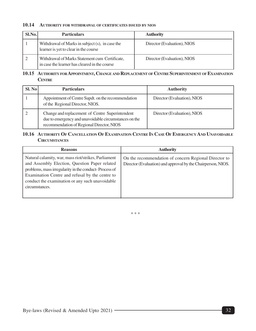#### **10.14 AUTHORITY FOR WITHDRAWAL OF CERTIFICATES ISSUED BY NIOS**

| Sl.No. | <b>Particulars</b>                                                                              | <b>Authority</b>            |
|--------|-------------------------------------------------------------------------------------------------|-----------------------------|
|        | Withdrawal of Marks in subject (s), in case the<br>learner is yet to clear in the course        | Director (Evaluation), NIOS |
|        | Withdrawal of Marks Statement cum Certificate,<br>in case the learner has cleared in the course | Director (Evaluation), NIOS |

#### 10.15 AUTHORITY FOR APPOINTMENT, CHANGE AND REPLACEMENT OF CENTRE SUPERINTENDENT OF EXAMINATION **CENTRE**

| <b>Sl. No</b> | <b>Particulars</b>                                                                                                                                    | <b>Authority</b>            |
|---------------|-------------------------------------------------------------------------------------------------------------------------------------------------------|-----------------------------|
|               | Appointment of Centre Supdt. on the recommendation<br>of the Regional Director, NIOS.                                                                 | Director (Evaluation), NIOS |
|               | Change and replacement of Centre Superintendent<br>due to emergency and unavoidable circumstances on the<br>recommendation of Regional Director, NIOS | Director (Evaluation), NIOS |

#### 10.16 AUTHORITY OF CANCELLATION OF EXAMINATION CENTRE IN CASE OF EMERGENCY AND UNAVOIDABLE **CIRCUMSTANCES**

| <b>Reasons</b>                                                                                                                                                                                                                                                                         | <b>Authority</b>                                                                                                      |
|----------------------------------------------------------------------------------------------------------------------------------------------------------------------------------------------------------------------------------------------------------------------------------------|-----------------------------------------------------------------------------------------------------------------------|
| Natural calamity, war, mass riot/strikes, Parliament<br>and Assembly Election, Question Paper related<br>problems, mass irregularity in the conduct-Process of<br>Examination Centre and refusal by the centre to<br>conduct the examination or any such unavoidable<br>circumstances. | On the recommendation of concern Regional Director to<br>Director (Evaluation) and approval by the Chairperson, NIOS. |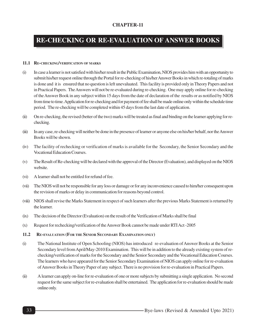# **RE-CHECKING OR RE-EVALUATION OF ANSWER BOOKS**

#### **11.1 RE-CHECKING/VERIFICATION OF MARKS**

- (i) In case a learner is not satisfied with his/her result in the Public Examination, NIOS provides him with an opportunity to submit his/her request online through the Portal for re-checking of his/her Answer Books in which re-totaling of marks is done and it is ensured that no question is left unevaluated. This facility is provided only in Theory Papers and not in Practical Papers. The Answers will not be re-evaluated during re-checking. One may apply online for re-checking of the Answer Book in any subject within 15 days from the date of declaration of the results or as notified by NIOS from time to time. Application for re-checking and for payment of fee shall be made online only within the schedule time period. The re-checking will be completed within 45 days from the last date of application.
- (ii) On re-checking, the revised (better of the two) marks will be treated as final and binding on the learner applying for rechecking.
- (iii) In any case, re-checking will neither be done in the presence of learner or anyone else on his/her behalf, nor the Answer Books will be shown.
- (iv) The facility of rechecking or verification of marks is available for the Secondary, the Senior Secondary and the Vocational Education Courses.
- (v) The Result of Re-checking will be declared with the approval of the Director (Evaluation), and displayed on the NIOS website.
- (vi) A learner shall not be entitled for refund of fee.
- (vii) The NIOS will not be responsible for any loss or damage or for any inconvenience caused to him/her consequent upon the revision of marks or delay in communication for reasons beyond control.
- (viii) NIOS shall revise the Marks Statement in respect of such learners after the previous Marks Statement is returned by the learner.
- (ix) The decision of the Director (Evaluation) on the result of the Verification of Marks shall be final
- (x) Request for rechecking/verification of the Answer Book cannot be made under RTI Act -2005
- **11.2 RE-EVALUATION (FOR THE SENIOR SECONDARY EXAMINATION ONLY)**
- (i) The National Institute of Open Schooling (NIOS) has introduced re-evaluation of Answer Books at the Senior Secondary level from April/May-2010 Examination. This will be in addition to the already existing system of rechecking/verification of marks for the Secondary and the Senior Secondary and the Vocational Education Courses. The learners who have appeared for the Senior Secondary Examination of NIOS can apply online for re-evaluation of Answer Books in Theory Paper of any subject. There is no provision for re-evaluation in Practical Papers.
- (ii) A learner can apply on-line for re-evaluation of one or more subjects by submitting a single application. No second request for the same subject for re-evaluation shall be entertained. The application for re-evaluation should be made online only.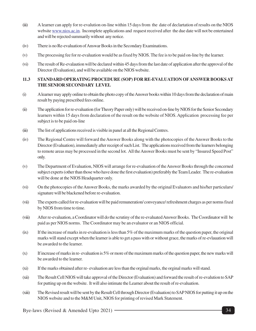- (iii) A learner can apply for re-evalution on-line within 15 days from the date of declartation of results on the NIOS website www.nios.ac.in. Incomplete applications and request received after the due date will not be entertained and will be rejected summarily without any notice.
- (iv) There is no Re-evaluation of Answar Books in the Secondary Examinations.
- (v) The processing fee for re-evaluation would be as fixed by NIOS. The fee is to be paid on-line by the learner.
- (vi) The result of Re-evalaution will be declared within 45 days from the last date of application after the approval of the Director (Evaluation), and will be available on the NIOS website.

#### **11.3 STANDARD OPERATING PROCEDURE (SOP) FOR RE-EVALUATION OFANSWER BOOKS AT THE SENIOR SECONDARY LEVEL**

- (i) A learner may apply online to obtain the photo copy of the Answer books within 10 days from the declaration of main result by paying prescribed fees online.
- (ii) The application for re-evaluation (for Theory Paper only) will be received on-line by NIOS for the Senior Secondary learners within 15 days from declaration of the result on the website of NIOS. Application processing fee per subject is to be paid on-line
- (iii) The list of applications received is visible in panel at all the Regional Centres.
- (iv) The Regional Centre will forward the Answer Books along with the photocopies of the Answer Books to the Director (Evaluation), immediately after receipt of such List. The applications received from the learners belonging to remote areas may be processed in the second lot. All the Answer Books must be sent by "Insured Speed Post" only.
- (v) The Department of Evaluation, NIOS will arrange for re-evaluation of the Answer Books through the concerned subject experts (other than those who have done the first evaluation) preferably the Team Leader. The re-evaluation will be done at the NIOS Headquarter only.
- (vi) On the photocopies of the Answer Books, the marks awarded by the original Evaluators and his/her particulars/ signature will be blackened before re-evaluation.
- (vii) The experts called for re-evaluation will be paid remuneration/ conveyance/ refreshment charges as per norms fixed by NIOS from time to time.
- (viii) After re-evaluation, a Coordinator will do the scrutiny of the re-evaluated Answer Books. The Coordinator will be paid as per NIOS norms. The Coordinator may be an evaluator or an NIOS official.
- $(ix)$  If the increase of marks in re-evaluation is less than 5% of the maximum marks of the question paper, the original marks will stand except when the learner is able to get a pass with or without grace, the marks of re-evlauation will be awarded to the learner.
- (x) If increase of marks in re- evaluation is 5% or more of the maximum marks of the question paper, the new marks will be awarded to the learner.
- (xi) If the marks obtained after re- evaluation are less than the orginal marks, the orginal marks will stand.
- (xii) The Result Cell NIOS will take approval of the Director (Evaluation) and forward the result of re-evalution to SAP for putting up on the website. It will also intimate the Learner about the result of re-evaluation.
- (xiii) The Revised result will be sent by the Result Cell through Director (Evaluation) to SAP NIOS for putting it up on the NIOS website and to the M&M Unit, NIOS for printing of revised Mark Statement.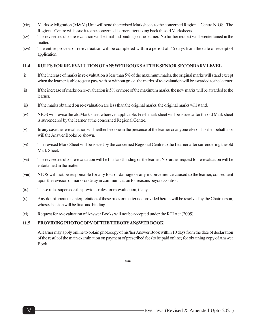- (xiv) Marks & Migration (M&M) Unit will send the revised Marksheets to the concerned Regional Centre NIOS. The Regional Centre will issue it to the concerned learner after taking back the old Marksheets.
- (xv) The revised result of re-evalution will be final and binding on the learner. No further request will be entertained in the matter.
- (xvi) The entire process of re-evaluation will be completed within a period of 45 days from the date of receipt of application.

#### **11.4 RULES FOR RE-EVALUTION OFANSWER BOOKS AT THE SENIOR SECONDARY LEVEL**

- $(i)$  If the increase of marks in re-evaluation is less than 5% of the maximum marks, the original marks will stand except when the learner is able to get a pass with or without grace, the marks of re-evaluation will be awarded to the learner.
- $(iii)$  If the increase of marks on re-evaluation is 5% or more of the maximum marks, the new marks will be awarded to the learner.
- (iii) If the marks obtained on re-evaluation are less than the original marks, the original marks will stand.
- (iv) NIOS will revise the old Mark sheet wherever applicable. Fresh mark sheet will be issued after the old Mark sheet is surrendered by the learner at the concerned Regional Centre.
- (v) In any case the re-evaluation will neither be done in the presence of the learner or anyone else on his /her behalf, nor will the Answer Books be shown.
- (vi) The revised Mark Sheet will be issued by the concerned Regional Centre to the Learner after surrendering the old Mark Sheet.
- (vii) The revised result of re-evaluation will be final and binding on the learner. No further request for re-evaluation will be entertained in the matter.
- (viii) NIOS will not be responsible for any loss or damage or any inconvenience caused to the learner, consequent upon the revision of marks or delay in communication for reasons beyond control.
- (ix) These rules supersede the previous rules for re-evaluation, if any.
- (x) Any doubt about the interpretation of these rules or matter not provided herein will be resolved by the Chairperson, whose decision will be final and binding.
- (xi) Request for re-evaluation of Answer Books will not be accepted under the RTI Act (2005).

#### **11.5 PROVIDING PHOTOCOPY OFTHE THEORY ANSWER BOOK**

A learner may apply online to obtain photocopy of his/her Answer Book within 10 days from the date of declaration of the result of the main examination on payment of prescribed fee (to be paid online) for obtaining copy of Answer Book.

**\*\*\***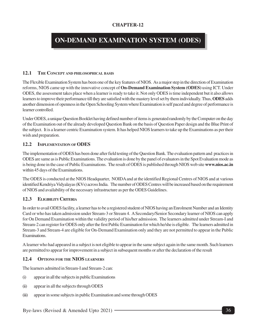# **ON-DEMAND EXAMINATION SYSTEM (ODES)**

#### **12.1 THE CONCEPT AND PHILOSOPHICAL BASIS**

The Flexible Examination System has been one of the key features of NIOS. As a major step in the direction of Examination reforms, NIOS came up with the innovative concept of **On-Demand Examination System (ODES)** using ICT. Under ODES, the assessment takes place when a learner is ready to take it. Not only ODES is time independent but it also allows learners to improve their performance till they are satisfied with the mastery level set by them individually. Thus, **ODES** adds another dimension of openness in the Open Schooling System where Examination is self paced and degree of performance is learner controlled.

Under ODES, a unique Question Booklet having defined number of items is generated randomly by the Computer on the day of the Examination out of the already developed Question Bank on the basis of Question Paper design and the Blue Print of the subject. It is a learner centric Examination system. It has helped NIOS learners to take up the Examinations as per their wish and preparation.

#### **12.2 IMPLEMENTATION OF ODES**

The implementation of ODES has been done after field testing of the Question Bank. The evaluation pattern and practices in ODES are same as is Public Examinations. The evaluation is done by the panel of evaluators in the Spot Evaluation mode as is being done in the case of Public Examinations. The result of ODES is published through NIOS web site **www.nios.ac.in** within 45 days of the Examinations.

The ODES is conducted at the NIOS Headquarter, NOIDA and at the identified Regional Centres of NIOS and at various identified Kendriya Vidyalayas (KVs) across India. The number of ODES Centres will be increased based on the requirement of NIOS and availability of the necessary infrastructure as per the ODES Guidelines.

#### **12.3 ELIGIBILITY CRITERIA**

In order to avail ODES facility, a learner has to be a registered student of NIOS having an Enrolment Number and an Identity Card or who has taken admission under Stream-3 or Stream 4. A Secondary/Senior Secondary learner of NIOS can apply for On Demand Examination within the validity period of his/her admission. The learners admitted under Stream-I and Stream-2 can register for ODES only after the first Public Examination for which he/she is eligible. The learners admitted in Stream-3 and Stream-4 are eligible for On-Demand Examination only and they are not permitted to appear in the Public Examinations.

A learner who had appeared in a subject is not eligible to appear in the same subject again in the same month. Such learners are permitted to appear for improvement in a subject in subsequent months or after the declaration of the result

#### **12.4 OPTIONS FOR THE NIOS LEARNERS**

The learners admitted in Stream-I and Stream-2 can:

- (i) appear in all the subjects in public Examinations
- (ii) appear in all the subjects through ODES
- (iii) appear in some subjects in public Examination and some through ODES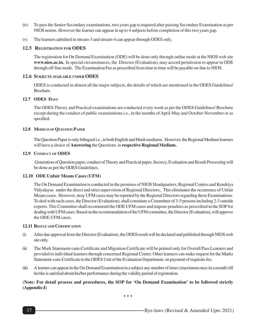- (iv) To pass the Senior Secondary examinations, two years gap is required after passing Secondary Examination as per NIOS norms. However the learner can appear in up to 4 subjects before completion of this two years gap.
- (v) The learners admitted in stream-3 and stream-4 can appear through ODES only.

#### **12.5 REGISTRATION FOR ODES**

The registration for On Demand Examination (ODE) will be done only through online mode at the NIOS web site **www.nios.ac.in.** In special circumstances, the Director (Evaluation), may accord permission to appear in ODE through off-line mode. The Examination Fee as prescribed from time to time will be payable on-line to NIOS.

#### **12.6 SUBJECTS AVAILABLE UNDER ODES**

ODES is conducted in almost all the major subjects, the details of which are mentioned in the ODES Guidelines/ Brochure.

#### **12.7 ODES DAYS**

The ODES Theory and Practical examinations are conducted every week as per the ODES Guidelines/ Brochure except during the conduct of public examinations i.e., in the months of April-May and October-November or as specified.

#### **12.8 MEDIUM OF QUESTION PAPER**

The Question Paper is only bilingual i.e., in both English and Hindi mediums. However, the Regional Medium learners will have a choice of **Answering** the Questions in **respective Regional Medium.**

#### **12.9 CONDUCT OF ODES**

 Generation of Question paper, conduct of Theory and Practical paper, Secrecy, Evaluation and Result Processing will be done as per the ODES Guidelines.

#### **12.10 ODE Unfair Means Cases (UFM)**

The On Demand Examination is conducted in the premises of NIOS Headquarters, Regional Centres and Kendriya Vidyalayas under the direct and strict supervision of Regional Directors,. This eliminates the occurrence of Unfair Means cases. However, stray UFM cases may be reported by the Regional Directors regarding these Examinations. To deal with such cases, the Director (Evaluation), shall constitute a Committee of 3-5 persons including 2-3 outside experts. This Committee shall recommend the ODE UFM cases and impose penalties as prescribed in the SOP for dealing with UFM cases. Based on the recommendation of the UFM committee, the Director (Evaluation), will approve the ODE UFM cases.

#### **12.11 RESULT AND CERTIFICATION**

- (i) After due approval from the Director (Evaluation), the ODES result will be declared and published through NIOS web site only.
- (ii) The Mark Statement-cum-Certificate and Migration Certificate will be printed only for Overall Pass Learners and provided to individual learners through concerned Regional Centre. Other learners can make request for the Marks Statement-cum-Certificate to the ODES Unit of the Evaluation Department, on payment of requisite fee.
- (iii) A learner can appear in the On Demand Examination in a subject any number of times (maximum once in a month) till he/she is satisfied about his/her performance during the validity period of registration.

#### (**Note: For detail process and procedures, the SOP for 'On Demand Examination' to be followed strictly (Appendix-I)**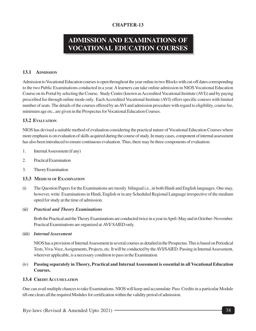# **ADMISSION AND EXAMINATIONS OF VOCATIONAL EDUCATION COURSES**

#### **13.1 ADMISSION**

Admission to Vocational Education courses is open throughout the year online in two Blocks with cut-off dates corresponding to the two Public Examinations conducted in a year. A learners can take online admission in NIOS Vocational Education Course on its Portal by selecting the Course, Study Centre (known as Accredited Vocational Institute (AVI)) and by paying prescribed fee through online mode only. Each Accredited Vocational Institute (AVI) offers specific courses with limited number of seats. The details of the courses offered by an AVI and admission procedure with regard to eligibility, course fee, minimum age etc., are given in the Prospectus for Vocational Education Courses.

#### **13.2 EVALUATION**

NIOS has devised a suitable method of evaluation considering the practical nature of Vocational Education Courses where more emphasis is on evaluation of skills acquired during the course of study. In many cases, component of internal assessment has also been introduced to ensure continuous evaluation. Thus, there may be three components of evaluation:

- 1. Internal Assessment (if any)
- 2. Practical Examination
- 3. Theory Examination

#### **13.3 MEDIUM OF EXAMINATION**

(i) The Question Papers for the Examinations are mostly bilingual i.e., in both Hindi and English languages. One may, however, write Examinations in Hindi, English or in any Scheduled Regional Language irrespective of the medium opted for study at the time of admission.

#### *(ii) Practical and Theory Examinations*

Both the Practical and the Theory Examinations are conducted twice in a year in April–May and in October–November. Practical Examinations are organized at AVI/ SAIED only.

#### *(iii) Internal Assessment*

NIOS has a provision of Internal Assessment in several courses as detailed in the Prospectus. This is based on Periodical Tests, Viva-Voce, Assignments, Projects, etc. It will be conducted by the AVI/SAIED. Passing in Internal Assessment, wherever applicable, is a necessary condition to pass in the Examination.

#### (iv) **Passing separately in Theory, Practical and Internal Assessment is essential in all Vocational Education Courses.**

#### **13.4 CREDIT ACCUMULATION**

One can avail multiple chances to take Examinations. NIOS will keep and accumulate Pass Credits in a particular Module till one clears all the required Modules for certification within the validity period of admission.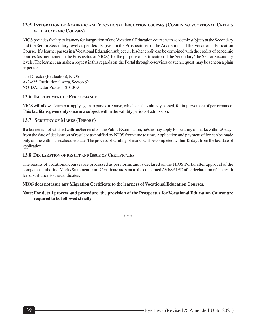#### **13.5 INTEGRATION OF ACADEMIC AND VOCATIONAL EDUCATION COURSES (COMBINING VOCATIONAL CREDITS WITH ACADEMIC COURSES)**

NIOS provides facility to learners for integration of one Vocational Education course with academic subjects at the Secondary and the Senior Secondary level as per details given in the Prospectuses of the Academic and the Vocational Education Course. If a learner passes in a Vocational Education subject(s), his/her credit can be combined with the credits of academic courses (as mentioned in the Prospectus of NIOS) for the purpose of certification at the Secondary/ the Senior Secondary levels. The learner can make a request in this regards on the Portal through e-services or such request may be sent on a plain paper to:

The Director (Evaluation), NIOS A-24/25, Institutional Area, Sector-62 NOIDA, Uttar Pradesh-201309

#### **13.6 IMPROVEMENT OF PERFORMANCE**

NIOS will allow a learner to apply again to pursue a course, which one has already passed, for improvement of performance. **This facility is given only once in a subject** within the validity period of admission**.**

#### **13.7 SCRUTINY OF MARKS (THEORY)**

If a learner is not satisfied with his/her result of the Public Examination, he/she may apply for scrutiny of marks within 20 days from the date of declaration of result or as notified by NIOS from time to time. Application and payment of fee can be made only online within the scheduled date. The process of scrutiny of marks will be completed within 45 days from the last date of application.

#### **13.8 DECLARATION OF RESULT AND ISSUE OF CERTIFICATES**

The results of vocational courses are processed as per norms and is declared on the NIOS Portal after approval of the competent authority. Marks Statement-cum-Certificate are sent to the concerned AVI/SAIED after declaration of the result for distribution to the candidates.

#### **NIOS does not issue any Migration Certificate to the learners of Vocational Education Courses.**

#### **Note:For detail process and procedure, the provision of the Prospectus for Vocational Education Course are required to be followed strictly.**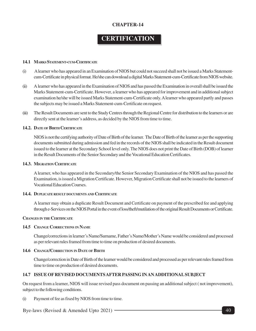# **CERTIFICATION**

#### **14.1 MARKS STATEMENT-CUM-CERTIFICATE**

- (i) A learner who has appeared in an Examination of NIOS but could not succeed shall not be issued a Marks Statementcum-Certificate in physical format. He/she can download a digital Marks Statement-cum-Certificate from NIOS website.
- (ii) A learner who has appeared in the Examination of NIOS and has passed the Examination in overall shall be issued the Marks Statement-cum-Certificate. However, a learner who has appeared for improvement and in additional subject examination he/she will be issued Marks Statement-cum-Certificate only. A learner who appeared partly and passes the subjects may be issued a Marks Statement-cum-Certificate on request.
- (iii) The Result Documents are sent to the Study Centres through the Regional Centre for distribution to the learners or are directly sent at the learner's address, as decided by the NIOS from time to time.

#### **14.2. DATE OF BIRTH CERTIFICATE**

NIOS is not the certifying authority of Date of Birth of the learner. The Date of Birth of the learner as per the supporting documents submitted during admission and fed in the records of the NIOS shall be indicated in the Result document issued to the learner at the Secondary School level only. The NIOS does not print the Date of Birth (DOB) of learner in the Result Documents of the Senior Secondary and the Vocational Education Certificates.

#### **14.3. MIGRATION CERTIFICATE**

A learner, who has appeared in the Secondary/the Senior Secondary Examination of the NIOS and has passed the Examination, is issued a Migration Certificate. However, Migration Certificate shall not be issued to the learners of Vocational Education Courses.

#### **14.4. DUPLICATE RESULT DOCUMENTS AND CERTIFICATE**

A learner may obtain a duplicate Result Document and Certificate on payment of the prescribed fee and applying through e-Services on the NIOS Portal in the event of loss/theft/mutilation of the original Result Documents or Certificate.

#### **CHANGES IN THE CERTIFICATE**

#### **14.5 CHANGE CORRECTIONS IN NAME**

Change/corrections in learner's Name/Surname, Father's Name/Mother's Name would be considered and processed as per relevant rules framed from time to time on production of desired documents.

#### **14.6 CHANGE/CORRECTION IN DATE OF BIRTH**

Change/correction in Date of Birth of the learner would be considered and processed as per relevant rules framed from time to time on production of desired documents.

#### **14.7 ISSUE OF REVISED DOCUMENTS AFTER PASSING IN AN ADDITIONAL SUBJECT**

On request from a learner, NIOS will issue revised pass document on passing an additional subject ( not improvement), subject to the following conditions.

(i) Payment of fee as fixed by NIOS from time to time.

Bye-laws (Revised & Amended Upto 2021)  $\rightarrow$  40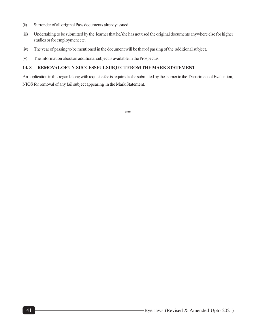- (ii) Surrender of all original Pass documents already issued.
- (iii) Undertaking to be submitted by the learner that he/she has not used the original documents anywhere else for higher studies or for employment etc.
- (iv) The year of passing to be mentioned in the document will be that of passing of the additional subject.
- (v) The information about an additional subject is available in the Prospectus.

#### **14. 8 REMOVAL OF UN-SUCCESSFUL SUBJECT FROM THE MARK STATEMENT**

An application in this regard along with requisite fee is required to be submitted by the learner to the Department of Evaluation, NIOS for removal of any fail subject appearing in the Mark Statement.

\*\*\*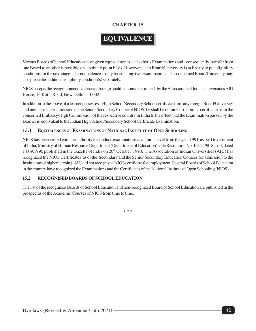# **EQUIVALENCE**

Various Boards of School Education have given equivalence to each other's Examinations and consequently transfer from one Board to another is possible on a point to point basis. However, each Board/University is at liberty to put eligibility conditions for the next stage. The equivalence is only for equating two Examinations. The concerned Board/University may also prescribe additional eligibility condition(s) separately.

NIOS accepts the recognition/equivalence of foreign qualifications determined by the Association of Indian Universities AIU House, 16 Kotla Road, New Delhi- 110002.

In addition to the above, if a learner possesses a High School/Secondary School certificate from any foreign Board/University and intends to take admission in the Senior Secondary Course of NIOS, he shall be required to submit a certificate from the concerned Embassy/High Commission of the respective country in India to the effect that the Examination passed by the Learner is equivalent to the Indian High School/Secondary School Certificate Examination.

#### **15.1 EQUIVALENCES OF EXAMINATIONS OF NATIONAL INSTITUTE OF OPEN SCHOOLING**

NIOS has been vested with the authority to conduct examinations at all India level from the year 1991 as per Government of India, Ministry of Human Resource Department (Department of Education) vide Resolution No- F 5.24/90 Sch. 3, dated 14.09.1990 published in the Gazette of India on 20th October 1990. The Association of Indian Universities (AIU) has recognized the NIOS Certificates as of the Secondary and the Senior Secondary Education Courses for admission to the Institutions of higher learning. AIU did not recognized NIOS certificate for employment. Several Boards of School Education in the country have recognized the Examinations and the Certificates of the National Institute of Open Schooling (NIOS).

#### **15.2 RECOGNISED BOARDS OF SCHOOL EDUCATION**

The list of the recognized Boards of School Education and non-recognized Board of School Education are published in the prospectus of the Academic Courses of NIOS from time to time.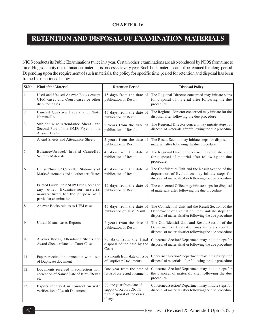# **RETENTION AND DISPOSAL OF EXAMINATION MATERIALS**

NIOS conducts its Public Examinations twice in a year. Certain other examinations are also conduced by NIOS from time to time. Huge quantity of examination materials is processed every year. Such bulk material cannot be retained for along period. Depending upon the requirement of such materials, the policy for specific time period for retention and disposal has been framed as mentioned below.

| Sl.No                       | <b>Kind of the Material</b>                                                                                                              | <b>Retention Period</b>                                                                          | <b>Disposal Policy</b>                                                                                                                                            |  |  |
|-----------------------------|------------------------------------------------------------------------------------------------------------------------------------------|--------------------------------------------------------------------------------------------------|-------------------------------------------------------------------------------------------------------------------------------------------------------------------|--|--|
| $\,1$                       | Used and Unused Answer Books except<br>UFM cases and Court cases or other<br>disputed cases                                              | 45 days from the date of<br>publication of Result                                                | The Regional Director concerned may initiate steps<br>for disposal of material after following the due<br>procedure                                               |  |  |
| $\vert$ 2                   | Unused Question Papers and Photo<br>Nominal Roll                                                                                         | 45 days from the date of<br>publication of Result                                                | The Regional Director concerned may initiate for the<br>disposal after following the due procedure                                                                |  |  |
| $\ensuremath{\mathfrak{Z}}$ | Subject wise Attendance Sheet and<br>Second Part of the OMR Flyer of the<br>Answer Books                                                 | 2 years from the date of<br>publication of Result                                                | The Regional Director concern may initiate steps for<br>disposal of materials after following the due procedure                                                   |  |  |
| $\vert 4$                   | Award Sheets and Attendance Sheets                                                                                                       | 5 years from the date of<br>publication of Result                                                | The Result Section may initiate steps for disposal of<br>material after following the due procedure                                                               |  |  |
| $\mathfrak s$               | Balance/Unused/ Invalid Cancelled<br>Secrecy Materials                                                                                   | 45 days from the date of<br>publication of Result                                                | The Regional Director concerned may initiate steps<br>for disposal of material after following the due<br>procedure                                               |  |  |
| 6                           | Unused/Invalid/ Cancelled Stationery of<br>Marks Statements and all other certificates                                                   | 45 days from the date of<br>publication of Result                                                | The Confidential Unit and the Result Section of the<br>department of Evaluation may initiate steps for<br>disposal of materials after following the due procedure |  |  |
| 7                           | Printed Guidelines/ SOP/ Date Sheet and<br>any other Examination material<br>manufactured for the purpose of a<br>particular examination | 45 days from the date of<br>publication of Result                                                | The concerned Office may initiate steps for disposal<br>of materials after following the due procedure                                                            |  |  |
| 8                           | Answer Books relates to UFM cases                                                                                                        | 45 days from the date of<br>publication of UFM Result                                            | The Confidential Unit and the Result Section of the<br>Department of Evaluation may initiate steps for<br>disposal of materials after following the due procedure |  |  |
| $\vert$ 9                   | Unfair Means cases Reports                                                                                                               | 2 years from the date of<br>publication of Result                                                | The Confidential Unit and Result Section of the<br>Department of Evaluation may initiate stapes for<br>disposal of materials after following the due procedure    |  |  |
| 10                          | Answer Books, Attendance Sheets and<br>Award Sheets relates to Court Cases                                                               | 90 days from the final<br>disposal of the case by the<br>Court                                   | Concerned Section/ Department may initiate steps for<br>disposal of materials after following the due procedure                                                   |  |  |
| $11\,$                      | Papers received in connection with issue<br>of Duplicate document                                                                        | Six month from date of issue<br>of Duplicate Documents                                           | Concerned Section/Department may initiate steps for<br>disposal of materials after following the due procedure                                                    |  |  |
| 12                          | Documents received in connection with<br>correction of Name/ Date of Birth /Result<br>etc                                                | issue of corrected documents                                                                     | One year from the date of Concerned Section/Department may initiate steps for<br>the disposal of materials after following the due<br>procedure                   |  |  |
| 13                          | Papers received in connection with<br>verification of Result Document                                                                    | (a) one year from date of<br>supply of Report OR till<br>final disposal of the cases,<br>if any. | Concerned Section/Department may initiate steps for<br>disposal of materials after following the due procedure                                                    |  |  |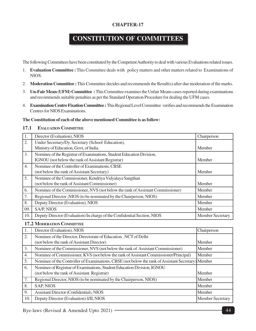# **CONSTITUTION OF COMMITTEES**

The following Committees have been constituted by the Competent Authority to deal with various Evaluations related issues.

- 1. **Evaluation Committee :** This Committee deals with policy matters and other matters related to Examinations of NIOS.
- 2. **Moderation Committee :** This Committee decides and recommends the Result(s) after due moderation of the marks.
- 3. **Un-Fair Mean (UFM) Committee :** This Committee examines the Unfair Means cases reported during examinations and recommends suitable penalties as per the Standard Operation Procedure for dealing the UFM cases.
- 4. **Examination Centre Fixation Committee :** This Regional Level Committee verifies and recommends the Examination Centres for NIOS Examinations.

#### **The Constitution of each of the above mentioned Committee is as follow:**

#### **17.1 EVALUATION COMMITTEE**

| 1.               | Director (Evaluation), NIOS                                                     | Chairperson             |
|------------------|---------------------------------------------------------------------------------|-------------------------|
| 2.               | Under Secretary/Dy. Secretary (School Education),                               |                         |
|                  | Ministry of Education, Govt, of India.                                          | Member                  |
| 3.               | Nominee of the Registrar of Examinations, Student Education Division,           |                         |
|                  | IGNOU (not below the rank of Assistant Registrar)                               | Member                  |
| $\overline{4}$ . | Nominee of the Controller of Examinations, CBSE                                 |                         |
|                  | (not below the rank of Assistant Secretary)                                     | Member                  |
| 5.               | Nominee of the Commissioner, Kendriya Vidyalaya Sangthan                        |                         |
|                  | (not below the rank of Assistant Commissioner)                                  | Member                  |
| 6.               | Nominee of the Commissioner, NVS (not below the rank of Assistant Commissioner) | Member                  |
| 7.               | Regional Director, NIOS (to be nominated by the Chairperson, NIOS)              | Member                  |
| 8.               | Deputy Director (Evaluation), NIOS                                              | Member                  |
| 09.              | SA/P, NIOS                                                                      | Member                  |
| 10.              | Deputy Director (Evaluation) In charge of the Confidential Section, NIOS        | <b>Member Secretary</b> |

#### **17.2 MODERATION COMMITTEE**

| 1.  | Director (Evaluation), NIOS                                                                        | Chairperson             |
|-----|----------------------------------------------------------------------------------------------------|-------------------------|
| 2.  | Nominee of the Director, Directorate of Education, NCT of Delhi                                    |                         |
|     | (not below the rank of Assistant Director)                                                         | <b>Member</b>           |
| 3.  | Nominee of the Commissioner, NVS (not below the rank of Assistant Commissioner)                    | Member                  |
| 4.  | Nominee of Commissioner, KVS (not below the rank of Assistant Commissioner/Principal)              | Member                  |
| 5.  | Nominee of the Controller of Examinations, CBSE (not below the rank of Assistant Secretary) Member |                         |
| 6.  | Nominee of Registrar of Examinations, Student Education Division, IGNOU                            |                         |
|     | (not below the rank of Assistant. Registrar)                                                       | Member                  |
| 7.  | Regional Director, NIOS (to be nominated by the Chairperson, NIOS)                                 | Member                  |
| 8.  | <b>SAP, NIOS</b>                                                                                   | Member                  |
| 9.  | <b>Assistant Director (Confidential), NIOS</b>                                                     | <b>Member</b>           |
| 10. | Deputy Director (Evaluation)-I/II, NIOS                                                            | <b>Member Secretary</b> |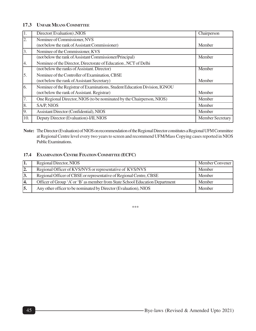#### **17.3 UNFAIR MEANS COMMITTEE**

|                  | Director(Evaluation), NIOS                                                  | Chairperson             |
|------------------|-----------------------------------------------------------------------------|-------------------------|
| $\overline{2}$ . | Nominee of Commissioner, NVS                                                |                         |
|                  | (not below the rank of Assistant Commissioner)                              | Member                  |
| 3.               | Nominee of the Commissioner, KVS                                            |                         |
|                  | (not below the rank of Assistant Commissioner/Principal)                    | Member                  |
| 4.               | Nominee of the Director, Directorate of Education, NCT of Delhi             |                         |
|                  | (not below the ranks of Assistant. Director)                                | Member                  |
| 15.              | Nominee of the Controller of Examination, CBSE                              |                         |
|                  | (not below the rank of Assistant Secretary)                                 | Member                  |
| 6.               | Nominee of the Registrar of Examinations, Student Education Division, IGNOU |                         |
|                  | (not below the rank of Assistant. Registrar)                                | Member                  |
| 7.               | One Regional Director, NIOS (to be nominated by the Chairperson, NIOS)      | Member                  |
| 8.               | SA/P, NIOS                                                                  | Member                  |
| 9.               | Assistant Director (Confidential), NIOS                                     | Member                  |
| 10.              | Deputy Director (Evaluation)-I/II, NIOS                                     | <b>Member Secretary</b> |

**Note:** The Director (Evaluation) of NIOS on recommendation of the Regional Director constitutes a Regional UFM Committee at Regional Centre level every two years to screen and recommend UFM/Mass Copying cases reported in NIOS Public Examinations.

#### **17.4 EXAMINATION CENTRE FIXATION COMMITTEE (ECFC)**

| 11. | Regional Director, NIOS                                                      | Member Convener |
|-----|------------------------------------------------------------------------------|-----------------|
| 2.  | Regional Officer of KVS/NVS or representative of KVS/NVS                     | Member          |
| 3.  | Regional Officer of CBSE or representative of Regional Centre, CBSE          | Member          |
| 14. | Officer of Group 'A' or 'B' as member from State School Education Department | Member          |
| 15. | Any other officer to be nominated by Director (Evaluation), NIOS             | Member          |

\*\*\*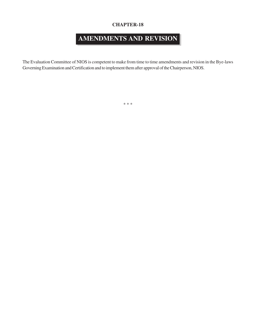# **AMENDMENTS AND REVISION**

The Evaluation Committee of NIOS is competent to make from time to time amendments and revision in the Bye-laws Governing Examination and Certification and to implement them after approval of the Chairperson, NIOS.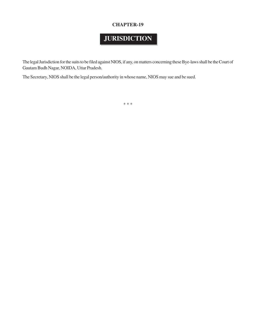# **JURISDICTION**

The legal Jurisdiction for the suits to be filed against NIOS, if any, on matters concerning these Bye-laws shall be the Court of Gautam Budh Nagar, NOIDA, Uttar Pradesh.

The Secretary, NIOS shall be the legal person/authority in whose name, NIOS may sue and be sued.